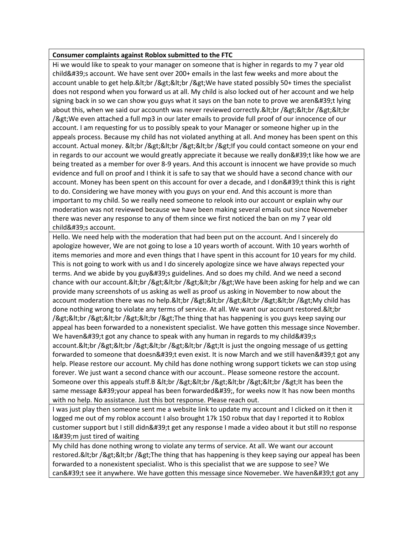## **Consumer complaints against Roblox submitted to the FTC**

Hi we would like to speak to your manager on someone that is higher in regards to my 7 year old child's account. We have sent over 200+ emails in the last few weeks and more about the account unable to get help.<br /&gt;&lt;br /&gt;We have stated possibly 50+ times the specialist does not respond when you forward us at all. My child is also locked out of her account and we help signing back in so we can show you guys what it says on the ban note to prove we aren't lying about this, when we said our accounth was never reviewed correctly.&It;br />&It;br />&It;br /> We even attached a full mp3 in our later emails to provide full proof of our innocence of our account. I am requesting for us to possibly speak to your Manager or someone higher up in the appeals process. Because my child has not violated anything at all. And money has been spent on this account. Actual money. & t; br / & gt; & t; br / & gt; & t; br / & gt; If you could contact someone on your end in regards to our account we would greatly appreciate it because we really don't like how we are being treated as a member for over 8-9 years. And this account is innocent we have provide so much evidence and full on proof and I think it is safe to say that we should have a second chance with our account. Money has been spent on this account for over a decade, and I don't think this is right to do. Considering we have money with you guys on your end. And this account is more than important to my child. So we really need someone to relook into our account or explain why our moderation was not reviewed because we have been making several emails out since Novemeber there was never any response to any of them since we first noticed the ban on my 7 year old child's account.

Hello. We need help with the moderation that had been put on the account. And I sincerely do apologize however, We are not going to lose a 10 years worth of account. With 10 years worhth of items memories and more and even things that I have spent in this account for 10 years for my child. This is not going to work with us and I do sincerely apologize since we have always repected your terms. And we abide by you guy's guidelines. And so does my child. And we need a second chance with our account.<br /&gt;&lt;br /&gt;&lt;br /&gt;We have been asking for help and we can provide many screenshots of us asking as well as proof us asking in November to now about the account moderation there was no help.<br /&gt;&lt;br /&gt;&lt;br /&gt;&lt;br /&gt;My child has done nothing wrong to violate any terms of service. At all. We want our account restored.&It; br /><br /&gt;&lt;br /&gt;&lt;br /&gt;The thing that has happening is you guys keep saying our appeal has been forwarded to a nonexistent specialist. We have gotten this message since November. We haven $\&$ #39;t got any chance to speak with any human in regards to my child $&$ #39;s account.&It;br />&It;br />&It;br />&It;br />It is just the ongoing message of us getting forwarded to someone that doesn't even exist. It is now March and we still haven't got any help. Please restore our account. My child has done nothing wrong support tickets we can stop using forever. We just want a second chance with our account.. Please someone restore the account. Someone over this appeals stuff.B <br /&gt;&lt;br /&gt;&lt;br /&gt;&lt;br /&gt;It has been the same message ' your appeal has been forwarded', for weeks now It has now been months with no help. No assistance. Just this bot response. Please reach out.

I was just play then someone sent me a website link to update my account and I clicked on it then it logged me out of my roblox account I also brought 17k 150 robux that day I reported it to Roblox customer support but I still didn't get any response I made a video about it but still no response 1'm just tired of waiting

My child has done nothing wrong to violate any terms of service. At all. We want our account restored.&It;br />&It;br />The thing that has happening is they keep saying our appeal has been forwarded to a nonexistent specialist. Who is this specialist that we are suppose to see? We can't see it anywhere. We have gotten this message since Novemeber. We haven't got any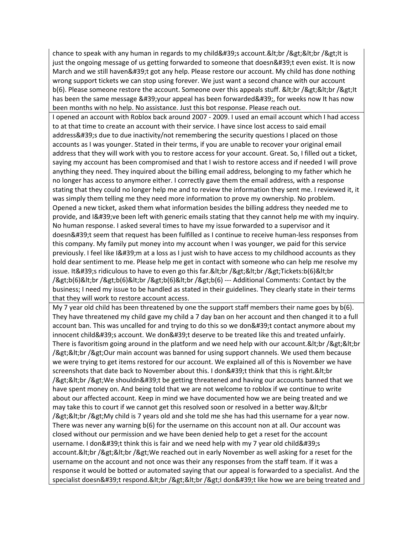chance to speak with any human in regards to my child  $\&\#39$ ; account.  $\&$  It; br /  $\&$ gt;  $\&$ lt; lt is just the ongoing message of us getting forwarded to someone that doesn't even exist. It is now March and we still haven't got any help. Please restore our account. My child has done nothing wrong support tickets we can stop using forever. We just want a second chance with our account  $b(6)$ . Please someone restore the account. Someone over this appeals stuff. &It;br />&It;br />It has been the same message 'your appeal has been forwarded', for weeks now It has now been months with no help. No assistance. Just this bot response. Please reach out.

I opened an account with Roblox back around 2007 - 2009. I used an email account which I had access to at that time to create an account with their service. I have since lost access to said email address's due to due inactivity/not remembering the security questions I placed on those accounts as I was younger. Stated in their terms, if you are unable to recover your original email address that they will work with you to restore access for your account. Great. So, I filled out a ticket, saying my account has been compromised and that I wish to restore access and if needed I will prove anything they need. They inquired about the billing email address, belonging to my father which he no longer has access to anymore either. I correctly gave them the email address, with a response stating that they could no longer help me and to review the information they sent me. I reviewed it, it was simply them telling me they need more information to prove my ownership. No problem. Opened a new ticket, asked them what information besides the billing address they needed me to provide, and I' ve been left with generic emails stating that they cannot help me with my inquiry. No human response. I asked several times to have my issue forwarded to a supervisor and it doesn't seem that request has been fulfilled as I continue to receive human-less responses from this company. My family put money into my account when I was younger, we paid for this service previously. I feel like I'm at a loss as I just wish to have access to my childhood accounts as they hold dear sentiment to me. Please help me get in contact with someone who can help me resolve my issue. It ' s ridiculous to have to even go this far. &It; br /> &It; br /> Tickets:  $b(6)$ &It; br />b(6)<br /&gt;b(6)&lt;br /&gt;b(6)&lt;br /&gt;b(6) --- Additional Comments: Contact by the business; I need my issue to be handled as stated in their guidelines. They clearly state in their terms that they will work to restore account access.

My 7 year old child has been threatened by one the support staff members their name goes by  $b(6)$ . They have threatened my child gave my child a 7 day ban on her account and then changed it to a full account ban. This was uncalled for and trying to do this so we don't contact anymore about my innocent child's account. We don't deserve to be treated like this and treated unfairly. There is favoritism going around in the platform and we need help with our account. & It; br / & gt; & It; br /><br /&gt;Our main account was banned for using support channels. We used them because we were trying to get items restored for our account. We explained all of this is November we have screenshots that date back to November about this. I don't think that this is right.&It;br /><br /&gt;We shouldn&#39;t be getting threatened and having our accounts banned that we have spent money on. And being told that we are not welcome to roblox if we continue to write about our affected account. Keep in mind we have documented how we are being treated and we may take this to court if we cannot get this resolved soon or resolved in a better way. & It; br /><br /&gt;My child is 7 years old and she told me she has had this username for a year now. There was never any warning b(6) for the username on this account non at all. Our account was closed without our permission and we have been denied help to get a reset for the account username. I don't think this is fair and we need help with my 7 year old child's account.&It;br />&It;br />We reached out in early November as well asking for a reset for the username on the account and not once was their any responses from the staff team. If it was a response it would be botted or automated saying that our appeal is forwarded to a specialist. And the specialist doesn't respond.<br /&gt;&lt;br /&gt;I don&#39;t like how we are being treated and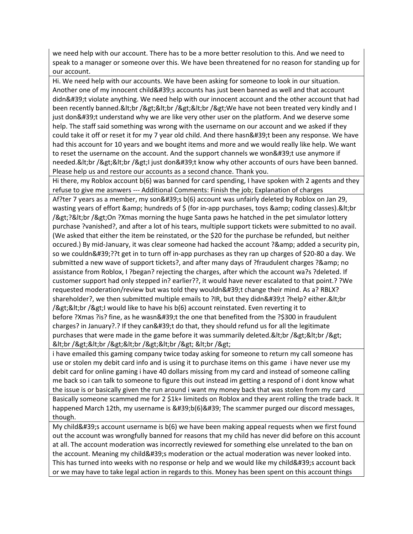we need help with our account. There has to be a more better resolution to this. And we need to speak to a manager or someone over this. We have been threatened for no reason for standing up for our account.

Hi. We need help with our accounts. We have been asking for someone to look in our situation. Another one of my innocent child's accounts has just been banned as well and that account didn't violate anything. We need help with our innocent account and the other account that had been recently banned.&It;br />&It;br />&It;br />We have not been treated very kindly and I just don't understand why we are like very other user on the platform. And we deserve some help. The staff said something was wrong with the username on our account and we asked if they could take it off or reset it for my 7 year old child. And there hasn't been any response. We have had this account for 10 years and we bought items and more and we would really like help. We want to reset the username on the account. And the support channels we won't use anymore if needed.&It;br />&It;br />I just don't know why other accounts of ours have been banned. Please help us and restore our accounts as a second chance. Thank you.

Hi there, my Roblox account b(6) was banned for card spending, I have spoken with 2 agents and they refuse to give me asnwers --- Additional Comments: Finish the job; Explanation of charges

Af?ter 7 years as a member, my son's b(6) account was unfairly deleted by Roblox on Jan 29, wasting years of effort  $\&$ amp; hundreds of  $\oint$  (for in-app purchases, toys  $\&$ amp; coding classes). $\&$ lt;br />?<br /&gt;On ?Xmas morning the huge Santa paws he hatched in the pet simulator lottery purchase ?vanished?, and after a lot of his tears, multiple support tickets were submitted to no avail. (We asked that either the item be reinstated, or the \$20 for the purchase be refunded, but neither occured.) By mid-January, it was clear someone had hacked the account ?& amp; added a security pin, so we couldn'??t get in to turn off in-app purchases as they ran up charges of \$20-80 a day. We submitted a new wave of support tickets?, and after many days of ?fraudulent charges ?& amp; no assistance from Roblox, I ?began? rejecting the charges, after which the account wa?s ?deleted. If customer support had only stepped in? earlier??, it would have never escalated to that point.? ?We requested moderation/review but was told they wouldn't change their mind. As a? RBLX? shareholder?, we then submitted multiple emails to ?IR, but they didn't ?help? either.&It;br /><br /&gt;I would like to have his b(6) account reinstated. Even reverting it to before ?Xmas ?is? fine, as he wasn't the one that benefited from the ?\$300 in fraudulent charges? in January?.? If they can't do that, they should refund us for all the legitimate purchases that were made in the game before it was summarily deleted.&It;br />&It;br /> <br /&gt;&lt;br /&gt;&lt;br /&gt;&lt;br /&gt; &lt;br /&gt;

i have emailed this gaming company twice today asking for someone to return my call someone has use or stolen my debit card info and is using it to purchase items on this game i have never use my debit card for online gaming i have 40 dollars missing from my card and instead of someone calling me back so i can talk to someone to figure this out instead im getting a respond of i dont know what the issue is or basically given the run around i want my money back that was stolen from my card Basically someone scammed me for 2 \$1k+ limiteds on Roblox and they arent rolling the trade back. It happened March 12th, my username is 'b(6)' The scammer purged our discord messages, though.

My child & #39;s account username is  $b(6)$  we have been making appeal requests when we first found out the account was wrongfully banned for reasons that my child has never did before on this account at all. The account moderation was incorrectly reviewed for something else unrelated to the ban on the account. Meaning my child's moderation or the actual moderation was never looked into. This has turned into weeks with no response or help and we would like my child's account back or we may have to take legal action in regards to this. Money has been spent on this account things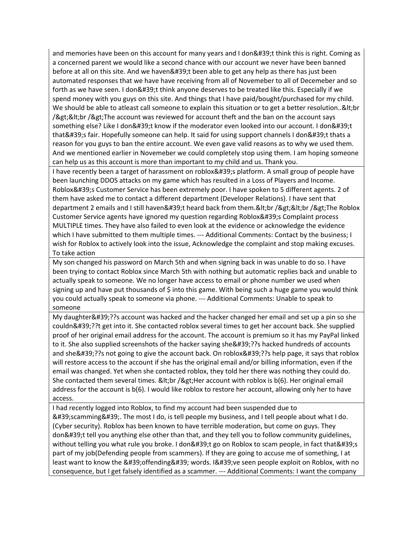and memories have been on this account for many years and I don't think this is right. Coming as a concerned parent we would like a second chance with our account we never have been banned before at all on this site. And we haven't been able to get any help as there has just been automated responses that we have have receiving from all of Novemeber to all of Decemeber and so forth as we have seen. I don't think anyone deserves to be treated like this. Especially if we spend money with you guys on this site. And things that I have paid/bought/purchased for my child. We should be able to atleast call someone to explain this situation or to get a better resolution..&It;br /><br /&gt;The account was reviewed for account theft and the ban on the account says something else? Like I don't know if the moderator even looked into our account. I don't that's fair. Hopefully someone can help. It said for using support channels I don't thats a reason for you guys to ban the entire account. We even gave valid reasons as to why we used them. And we mentioned earlier in Novemeber we could completely stop using them. I am hoping someone can help us as this account is more than important to my child and us. Thank you.

I have recently been a target of harassment on roblox's platform. A small group of people have been launching DDOS attacks on my game which has resulted in a Loss of Players and Income. Roblox's Customer Service has been extremely poor. I have spoken to 5 different agents. 2 of them have asked me to contact a different department (Developer Relations). I have sent that department 2 emails and I still haven't heard back from them.<br /&gt;&lt;br /&gt;The Roblox Customer Service agents have ignored my question regarding Roblox's Complaint process MULTIPLE times. They have also failed to even look at the evidence or acknowledge the evidence which I have submitted to them multiple times. --- Additional Comments: Contact by the business; I wish for Roblox to actively look into the issue, Acknowledge the complaint and stop making excuses. To take action

My son changed his password on March 5th and when signing back in was unable to do so. I have been trying to contact Roblox since March 5th with nothing but automatic replies back and unable to actually speak to someone. We no longer have access to email or phone number we used when signing up and have put thousands of \$ into this game. With being such a huge game you would think you could actually speak to someone via phone. --- Additional Comments: Unable to speak to someone

My daughter'??s account was hacked and the hacker changed her email and set up a pin so she couldn'??t get into it. She contacted roblox several times to get her account back. She supplied proof of her original email address for the account. The account is premium so it has my PayPal linked to it. She also supplied screenshots of the hacker saying she '??s hacked hundreds of accounts and she&#39:??s not going to give the account back. On roblox&#39:??s help page, it says that roblox will restore access to the account if she has the original email and/or billing information, even if the email was changed. Yet when she contacted roblox, they told her there was nothing they could do. She contacted them several times. & It; br / & gt; Her account with roblox is  $b(6)$ . Her original email address for the account is b(6). I would like roblox to restore her account, allowing only her to have access.

I had recently logged into Roblox, to find my account had been suspended due to  $'$ ; scamming & #39;. The most I do, is tell people my business, and I tell people about what I do. (Cyber security). Roblox has been known to have terrible moderation, but come on guys. They don't tell you anything else other than that, and they tell you to follow community guidelines, without telling you what rule you broke. I don't go on Roblox to scam people, in fact that's part of my job(Defending people from scammers). If they are going to accuse me of something, I at least want to know the 'offending' words. I've seen people exploit on Roblox, with no consequence, but I get falsely identified as a scammer. --- Additional Comments: I want the company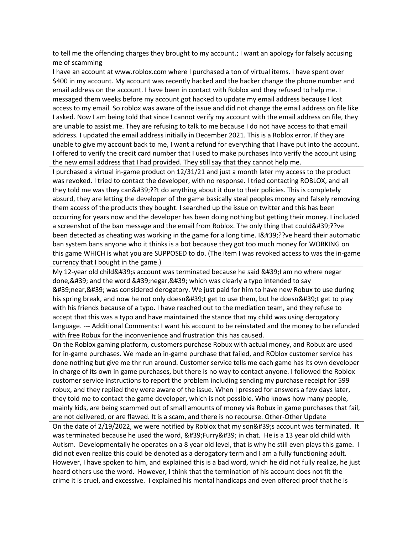to tell me the offending charges they brought to my account.; I want an apology for falsely accusing me of scamming

I have an account at www.roblox.com where I purchased a ton of virtual items. I have spent over \$400 in my account. My account was recently hacked and the hacker change the phone number and email address on the account. I have been in contact with Roblox and they refused to help me. I messaged them weeks before my account got hacked to update my email address because I lost access to my email. So roblox was aware of the issue and did not change the email address on file like I asked. Now I am being told that since I cannot verify my account with the email address on file, they are unable to assist me. They are refusing to talk to me because I do not have access to that email address. I updated the email address initially in December 2021. This is a Roblox error. If they are unable to give my account back to me, I want a refund for everything that I have put into the account. I offered to verify the credit card number that I used to make purchases Into verify the account using the new email address that I had provided. They still say that they cannot help me.

I purchased a virtual in-game product on 12/31/21 and just a month later my access to the product was revoked. I tried to contact the developer, with no response. I tried contacting ROBLOX, and all they told me was they can'??t do anything about it due to their policies. This is completely absurd, they are letting the developer of the game basically steal peoples money and falsely removing them access of the products they bought. I searched up the issue on twitter and this has been occurring for years now and the developer has been doing nothing but getting their money. I included a screenshot of the ban message and the email from Roblox. The only thing that could'??ve been detected as cheating was working in the game for a long time. I'??ve heard their automatic ban system bans anyone who it thinks is a bot because they got too much money for WORKING on this game WHICH is what you are SUPPOSED to do. (The item I was revoked access to was the in-game currency that I bought in the game.)

My 12-year old child ' saccount was terminated because he said  $\&$ #39; I am no where negar done, ' and the word 'negar, ' which was clearly a typo intended to say  $'$ near, $'$  was considered derogatory. We just paid for him to have new Robux to use during his spring break, and now he not only doesn't get to use them, but he doesn't get to play with his friends because of a typo. I have reached out to the mediation team, and they refuse to accept that this was a typo and have maintained the stance that my child was using derogatory language. --- Additional Comments: I want his account to be reinstated and the money to be refunded with free Robux for the inconvenience and frustration this has caused.

On the Roblox gaming platform, customers purchase Robux with actual money, and Robux are used for in-game purchases. We made an in-game purchase that failed, and ROblox customer service has done nothing but give me thr run around. Customer service tells me each game has its own developer in charge of its own in game purchases, but there is no way to contact anyone. I followed the Roblox customer service instructions to report the problem including sending my purchase receipt for 599 robux, and they replied they were aware of the issue. When I pressed for answers a few days later, they told me to contact the game developer, which is not possible. Who knows how many people, mainly kids, are being scammed out of small amounts of money via Robux in game purchases that fail, are not delivered, or are flawed. It is a scam, and there is no recourse. Other-Other Update

On the date of 2/19/2022, we were notified by Roblox that my son's account was terminated. It was terminated because he used the word, 'Furry' in chat. He is a 13 year old child with Autism. Developmentally he operates on a 8 year old level, that is why he still even plays this game. I did not even realize this could be denoted as a derogatory term and I am a fully functioning adult. However, I have spoken to him, and explained this is a bad word, which he did not fully realize, he just heard others use the word. However, I think that the termination of his account does not fit the crime it is cruel, and excessive. I explained his mental handicaps and even offered proof that he is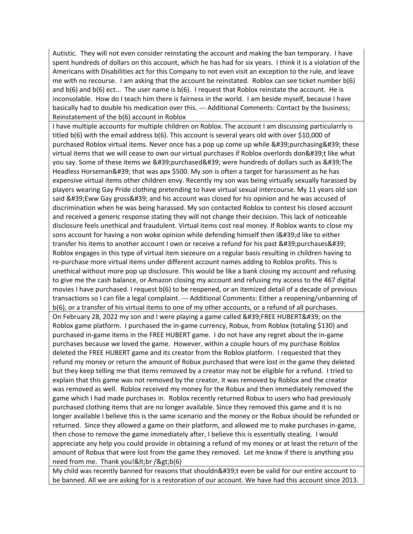Autistic. They will not even consider reinstating the account and making the ban temporary. I have spent hundreds of dollars on this account, which he has had for six years. I think it is a violation of the Americans with Disabilities act for this Company to not even visit an exception to the rule, and leave me with no recourse. I am asking that the account be reinstated. Roblox can see ticket number b(6) and  $b(6)$  and  $b(6)$  ect... The user name is  $b(6)$ . I request that Roblox reinstate the account. He is inconsolable. How do I teach him there is fairness in the world. I am beside myself, because I have basically had to double his medication over this. --- Additional Comments: Contact by the business; Reinstatement of the b(6) account in Roblox

I have multiple accounts for multiple children on Roblox. The account I am discussing particularrly is titled b(6) with the email address b(6). This account is several years old with over \$10,000 of purchased Roblox virtual items. Never once has a pop up come up while 'purchasing' these virtual items that we will cease to own our virtual purchases if Roblox overlords don't like what you say. Some of these items we 'purchased' were hundreds of dollars such as 'The Headless Horseman' that was apx \$500. My son is often a target for harassment as he has expensive virtual items other children envy. Recently my son was being virtually sexually harassed by players wearing Gay Pride clothing pretending to have virtual sexual intercourse. My 11 years old son said ' Eww Gay gross ' and his account was closed for his opinion and he was accused of discrimination when he was being harassed. My son contacted Roblox to contest his closed account and received a generic response stating they will not change their decision. This lack of noticeable disclosure feels unethical and fraudulent. Virtual items cost real money. If Roblox wants to close my sons account for having a non woke opinion while defending himself then  $18#39; d$  like to either transfer his items to another account I own or receive a refund for his past 'purchases' Roblox engages in this type of virtual item siezeure on a regular basis resulting in children having to re-purchase more virtual items under different account names adding to Roblox profits. This is unethical without more pop up disclosure. This would be like a bank closing my account and refusing to give me the cash balance, or Amazon closing my account and refusing my access to the 467 digital movies I have purchased. I request b(6) to be reopened, or an itemized detail of a decade of previous transactions so I can file a legal complaint. --- Additional Comments: Either a reopening/unbanning of b(6), or a transfer of his virtual items to one of my other accounts, or a refund of all purchases.

On February 28, 2022 my son and I were playing a game called 'FREE HUBERT' on the Roblox game platform. I purchased the in-game currency, Robux, from Roblox (totaling \$130) and purchased in-game items in the FREE HUBERT game. I do not have any regret about the in-game purchases because we loved the game. However, within a couple hours of my purchase Roblox deleted the FREE HUBERT game and its creator from the Roblox platform. I requested that they refund my money or return the amount of Robux purchased that were lost in the game they deleted but they keep telling me that items removed by a creator may not be eligible for a refund. I tried to explain that this game was not removed by the creator, it was removed by Roblox and the creator was removed as well. Roblox received my money for the Robux and then immediately removed the game which I had made purchases in. Roblox recently returned Robux to users who had previously purchased clothing items that are no longer available. Since they removed this game and it is no longer available I believe this is the same scenario and the money or the Robux should be refunded or returned. Since they allowed a game on their platform, and allowed me to make purchases in-game, then chose to remove the game immediately after, I believe this is essentially stealing. I would appreciate any help you could provide in obtaining a refund of my money or at least the return of the amount of Robux that were lost from the game they removed. Let me know if there is anything you need from me. Thank you!<br /&gt;b(6)

My child was recently banned for reasons that shouldn't even be valid for our entire account to be banned. All we are asking for is a restoration of our account. We have had this account since 2013.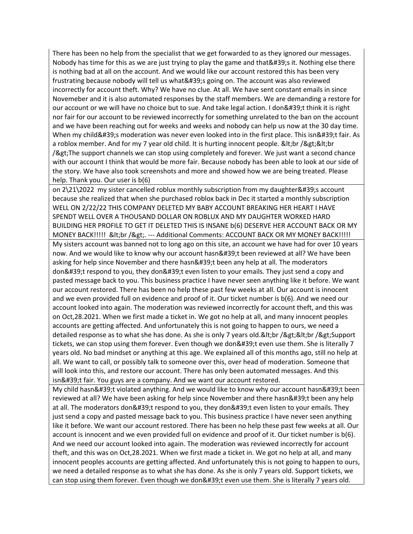There has been no help from the specialist that we get forwarded to as they ignored our messages. Nobody has time for this as we are just trying to play the game and that's it. Nothing else there is nothing bad at all on the account. And we would like our account restored this has been very frustrating because nobody will tell us what's going on. The account was also reviewed incorrectly for account theft. Why? We have no clue. At all. We have sent constant emails in since Novemeber and it is also automated responses by the staff members. We are demanding a restore for our account or we will have no choice but to sue. And take legal action. I don't think it is right nor fair for our account to be reviewed incorrectly for something unrelated to the ban on the account and we have been reaching out for weeks and weeks and nobody can help us now at the 30 day time. When my child's moderation was never even looked into in the first place. This isn't fair. As a roblox member. And for my 7 year old child. It is hurting innocent people.  $<$ It;br / $<$ gt; $<$ It;br /> The support channels we can stop using completely and forever. We just want a second chance with our account I think that would be more fair. Because nobody has been able to look at our side of the story. We have also took screenshots and more and showed how we are being treated. Please help. Thank you. Our user is b(6)

on  $2\frac{21}{2022}$  my sister cancelled roblux monthly subscription from my daughter 's account because she realized that when she purchased roblox back in Dec it started a monthly subscription WELL ON 2/22/22 THIS COMPANY DELETED MY BABY ACCOUNT BREAKING HER HEART I HAVE SPENDT WELL OVER A THOUSAND DOLLAR ON ROBLUX AND MY DAUGHTER WORKED HARD BUILDING HER PROFILE TO GET IT DELETED THIS IS INSANE b(6) DESERVE HER ACCOUNT BACK OR MY MONEY BACK!!!!! & lt;br / & gt;. --- Additional Comments: ACCOUNT BACK OR MY MONEY BACK!!!!!

My sisters account was banned not to long ago on this site, an account we have had for over 10 years now. And we would like to know why our account hasn't been reviewed at all? We have been asking for help since November and there hasn't been any help at all. The moderators don't respond to you, they don't even listen to your emails. They just send a copy and pasted message back to you. This business practice I have never seen anything like it before. We want our account restored. There has been no help these past few weeks at all. Our account is innocent and we even provided full on evidence and proof of it. Our ticket number is b(6). And we need our account looked into again. The moderation was reviewed incorrectly for account theft, and this was on Oct,28.2021. When we first made a ticket in. We got no help at all, and many innocent peoples accounts are getting affected. And unfortunately this is not going to happen to ours, we need a detailed response as to what she has done. As she is only 7 years old.<br /&gt;&lt;br /&gt;Support tickets, we can stop using them forever. Even though we don't even use them. She is literally 7 years old. No bad mindset or anything at this age. We explained all of this months ago, still no help at all. We want to call, or possibly talk to someone over this, over head of moderation. Someone that will look into this, and restore our account. There has only been automated messages. And this isn't fair. You guys are a company. And we want our account restored.

My child hasn't violated anything. And we would like to know why our account hasn't been reviewed at all? We have been asking for help since November and there hasn't been any help at all. The moderators don't respond to you, they don't even listen to your emails. They just send a copy and pasted message back to you. This business practice I have never seen anything like it before. We want our account restored. There has been no help these past few weeks at all. Our account is innocent and we even provided full on evidence and proof of it. Our ticket number is b(6). And we need our account looked into again. The moderation was reviewed incorrectly for account theft, and this was on Oct,28.2021. When we first made a ticket in. We got no help at all, and many innocent peoples accounts are getting affected. And unfortunately this is not going to happen to ours, we need a detailed response as to what she has done. As she is only 7 years old. Support tickets, we can stop using them forever. Even though we don't even use them. She is literally 7 years old.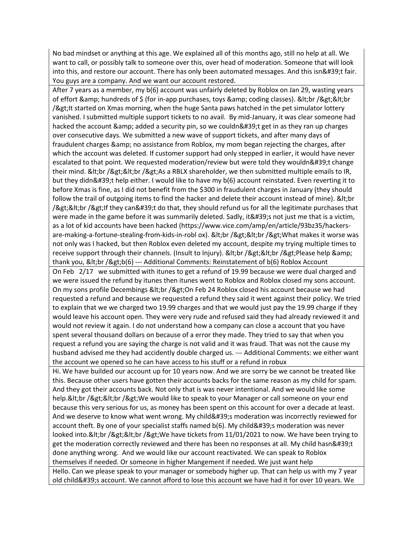No bad mindset or anything at this age. We explained all of this months ago, still no help at all. We want to call, or possibly talk to someone over this, over head of moderation. Someone that will look into this, and restore our account. There has only been automated messages. And this isn't fair. You guys are a company. And we want our account restored.

After 7 years as a member, my b(6) account was unfairly deleted by Roblox on Jan 29, wasting years of effort & amp; hundreds of  $\zeta$  (for in-app purchases, toys & amp; coding classes). & lt; br / & gt; & lt; br /> It started on Xmas morning, when the huge Santa paws hatched in the pet simulator lottery vanished. I submitted multiple support tickets to no avail. By mid-January, it was clear someone had hacked the account & amp; added a security pin, so we couldn't get in as they ran up charges over consecutive days. We submitted a new wave of support tickets, and after many days of fraudulent charges & amp; no assistance from Roblox, my mom began rejecting the charges, after which the account was deleted. If customer support had only stepped in earlier, it would have never escalated to that point. We requested moderation/review but were told they wouldn't change their mind.  $;  $\>R$ <sub>s</sub>  $\;  $;  $\>R$  a RBLX shareholder, we then submitted multiple emails to IR,$$$ but they didn't help either. I would like to have my b(6) account reinstated. Even reverting it to before Xmas is fine, as I did not benefit from the \$300 in fraudulent charges in January (they should follow the trail of outgoing items to find the hacker and delete their account instead of mine). & It; br /><br /&gt;If they can&#39;t do that, they should refund us for all the legitimate purchases that were made in the game before it was summarily deleted. Sadly, it's not just me that is a victim, as a lot of kid accounts have been hacked (https://www.vice.com/amp/en/article/93bz35/hackersare-making-a-fortune-stealing-from-kids-in-robl ox). <br /&gt;&lt;br /&gt;What makes it worse was not only was I hacked, but then Roblox even deleted my account, despite my trying multiple times to receive support through their channels. (Insult to Injury). <br /&gt;&lt;br /&gt;Please help &amp; thank you, <br /&gt;b(6) --- Additional Comments: Reinstatement of b(6) Roblox Account On Feb 2/17 we submitted with itunes to get a refund of 19.99 because we were dual charged and we were issued the refund by itunes then itunes went to Roblox and Roblox closed my sons account. On my sons profile Decembings <br /&gt;On Feb 24 Roblox closed his account because we had requested a refund and because we requested a refund they said it went against their policy. We tried to explain that we we charged two 19.99 charges and that we would just pay the 19.99 charge if they would leave his account open. They were very rude and refused said they had already reviewed it and would not review it again. I do not understand how a company can close a account that you have spent several thousand dollars on because of a error they made. They tried to say that when you

husband advised me they had accidently double charged us. --- Additional Comments: we either want the account we opened so he can have access to his stuff or a refund in robux

Hi. We have builded our account up for 10 years now. And we are sorry be we cannot be treated like this. Because other users have gotten their accounts backs for the same reason as my child for spam. And they got their accounts back. Not only that is was never intentional. And we would like some help.&It;br />&It;br />We would like to speak to your Manager or call someone on your end because this very serious for us, as money has been spent on this account for over a decade at least. And we deserve to know what went wrong. My child's moderation was incorrectly reviewed for account theft. By one of your specialist staffs named  $b(6)$ . My child 's moderation was never looked into.<br /&gt;&lt;br /&gt;We have tickets from 11/01/2021 to now. We have been trying to get the moderation correctly reviewed and there has been no responses at all. My child hasn't done anything wrong. And we would like our account reactivated. We can speak to Roblox themselves if needed. Or someone in higher Mangement if needed. We just want help

request a refund you are saying the charge is not valid and it was fraud. That was not the cause my

Hello. Can we please speak to your manager or somebody higher up. That can help us with my 7 year old child's account. We cannot afford to lose this account we have had it for over 10 years. We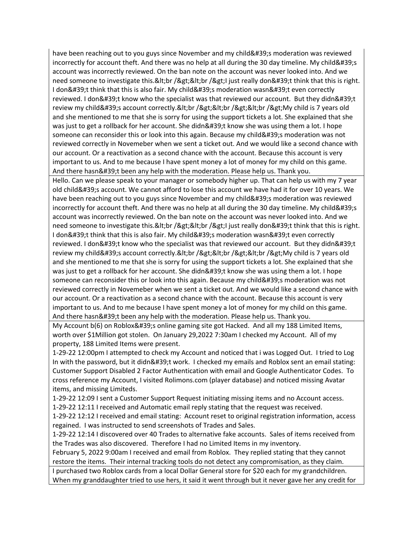have been reaching out to you guys since November and my child's moderation was reviewed incorrectly for account theft. And there was no help at all during the 30 day timeline. My child's account was incorrectly reviewed. On the ban note on the account was never looked into. And we need someone to investigate this.&It;br />&It;br />I just really don't think that this is right. I don't think that this is also fair. My child's moderation wasn't even correctly reviewed. I don't know who the specialist was that reviewed our account. But they didn't review my child's account correctly.<br /&gt;&lt;br /&gt;&lt;br /&gt;My child is 7 years old and she mentioned to me that she is sorry for using the support tickets a lot. She explained that she was just to get a rollback for her account. She didn't know she was using them a lot. I hope someone can reconsider this or look into this again. Because my child's moderation was not reviewed correctly in Novemeber when we sent a ticket out. And we would like a second chance with our account. Or a reactivation as a second chance with the account. Because this account is very important to us. And to me because I have spent money a lot of money for my child on this game. And there hasn't been any help with the moderation. Please help us. Thank you.

Hello. Can we please speak to your manager or somebody higher up. That can help us with my 7 year old child's account. We cannot afford to lose this account we have had it for over 10 years. We have been reaching out to you guys since November and my child's moderation was reviewed incorrectly for account theft. And there was no help at all during the 30 day timeline. My child's account was incorrectly reviewed. On the ban note on the account was never looked into. And we need someone to investigate this.&It;br />&It;br />I just really don't think that this is right. I don't think that this is also fair. My child's moderation wasn't even correctly reviewed. I don't know who the specialist was that reviewed our account. But they didn't review my child's account correctly.<br /&gt;&lt;br /&gt;&lt;br /&gt;My child is 7 years old and she mentioned to me that she is sorry for using the support tickets a lot. She explained that she was just to get a rollback for her account. She didn't know she was using them a lot. I hope someone can reconsider this or look into this again. Because my child's moderation was not reviewed correctly in Novemeber when we sent a ticket out. And we would like a second chance with our account. Or a reactivation as a second chance with the account. Because this account is very important to us. And to me because I have spent money a lot of money for my child on this game. And there hasn't been any help with the moderation. Please help us. Thank you.

My Account b(6) on Roblox's online gaming site got Hacked. And all my 188 Limited Items, worth over \$1Million got stolen. On January 29,2022 7:30am I checked my Account. All of my property, 188 Limited Items were present.

1-29-22 12:00pm I attempted to check my Account and noticed that i was Logged Out. I tried to Log In with the password, but it didn't work. I checked my emails and Roblox sent an email stating: Customer Support Disabled 2 Factor Authentication with email and Google Authenticator Codes. To cross reference my Account, I visited Rolimons.com (player database) and noticed missing Avatar items, and missing Limiteds.

1-29-22 12:09 I sent a Customer Support Request initiating missing items and no Account access.

1-29-22 12:11 I received and Automatic email reply stating that the request was received.

1-29-22 12:12 I received and email stating: Account reset to original registration information, access regained. I was instructed to send screenshots of Trades and Sales.

1-29-22 12:14 I discovered over 40 Trades to alternative fake accounts. Sales of items received from the Trades was also discovered. Therefore I had no Limited Items in my inventory.

February 5, 2022 9:00am I received and email from Roblox. They replied stating that they cannot restore the items. Their internal tracking tools do not detect any compromisation, as they claim.

I purchased two Roblox cards from a local Dollar General store for \$20 each for my grandchildren. When my granddaughter tried to use hers, it said it went through but it never gave her any credit for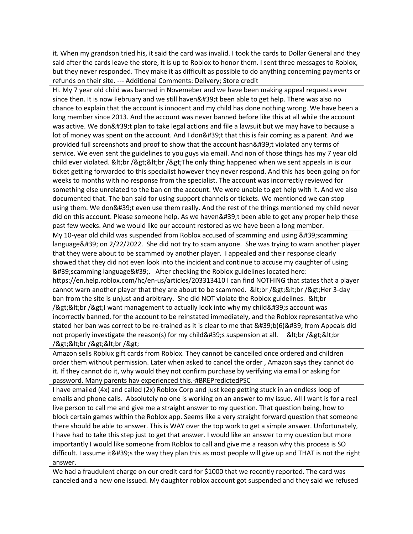it. When my grandson tried his, it said the card was invalid. I took the cards to Dollar General and they said after the cards leave the store, it is up to Roblox to honor them. I sent three messages to Roblox, but they never responded. They make it as difficult as possible to do anything concerning payments or refunds on their site. --- Additional Comments: Delivery; Store credit

Hi. My 7 year old child was banned in Novemeber and we have been making appeal requests ever since then. It is now February and we still haven't been able to get help. There was also no chance to explain that the account is innocent and my child has done nothing wrong. We have been a long member since 2013. And the account was never banned before like this at all while the account was active. We don't plan to take legal actions and file a lawsuit but we may have to because a lot of money was spent on the account. And I don't that this is fair coming as a parent. And we provided full screenshots and proof to show that the account hasn't violated any terms of service. We even sent the guidelines to you guys via email. And non of those things has my 7 year old child ever violated. <br /&gt;&lt;br /&gt;The only thing happened when we sent appeals in is our ticket getting forwarded to this specialist however they never respond. And this has been going on for weeks to months with no response from the specialist. The account was incorrectly reviewed for something else unrelated to the ban on the account. We were unable to get help with it. And we also documented that. The ban said for using support channels or tickets. We mentioned we can stop using them. We don't even use them really. And the rest of the things mentioned my child never did on this account. Please someone help. As we haven't been able to get any proper help these past few weeks. And we would like our account restored as we have been a long member.

My 10-year old child was suspended from Roblox accused of scamming and using  $&\#39$ ; scamming language' on 2/22/2022. She did not try to scam anyone. She was trying to warn another player that they were about to be scammed by another player. I appealed and their response clearly showed that they did not even look into the incident and continue to accuse my daughter of using 'scamming language' After checking the Roblox guidelines located here: https://en.help.roblox.com/hc/en-us/articles/203313410 I can find NOTHING that states that a player cannot warn another player that they are about to be scammed. <br /&gt;&lt;br /&gt;Her 3-day ban from the site is unjust and arbitrary. She did NOT violate the Roblox guidelines. & lt; br /><br /&gt;I want management to actually look into why my child&#39;s account was incorrectly banned, for the account to be reinstated immediately, and the Roblox representative who stated her ban was correct to be re-trained as it is clear to me that 'b(6)' from Appeals did not properly investigate the reason(s) for my child 's suspension at all. & kt; br / > & kt; br /><br /&gt;&lt;br /&gt;

Amazon sells Roblux gift cards from Roblox. They cannot be cancelled once ordered and children order them without permission. Later when asked to cancel the order , Amazon says they cannot do it. If they cannot do it, why would they not confirm purchase by verifying via email or asking for password. Many parents hav experienced this.-#BREPredictedPSC

I have emailed (4x) and called (2x) Roblox Corp and just keep getting stuck in an endless loop of emails and phone calls. Absolutely no one is working on an answer to my issue. All I want is for a real live person to call me and give me a straight answer to my question. That question being, how to block certain games within the Roblox app. Seems like a very straight forward question that someone there should be able to answer. This is WAY over the top work to get a simple answer. Unfortunately, I have had to take this step just to get that answer. I would like an answer to my question but more importantly I would like someone from Roblox to call and give me a reason why this process is SO difficult. I assume it's the way they plan this as most people will give up and THAT is not the right answer.

We had a fraudulent charge on our credit card for \$1000 that we recently reported. The card was canceled and a new one issued. My daughter roblox account got suspended and they said we refused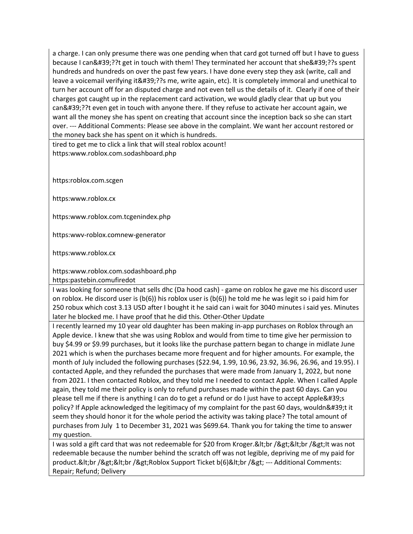a charge. I can only presume there was one pending when that card got turned off but I have to guess because I can'??t get in touch with them! They terminated her account that she'??s spent hundreds and hundreds on over the past few years. I have done every step they ask (write, call and leave a voicemail verifying it'??s me, write again, etc). It is completely immoral and unethical to turn her account off for an disputed charge and not even tell us the details of it. Clearly if one of their charges got caught up in the replacement card activation, we would gladly clear that up but you can'??t even get in touch with anyone there. If they refuse to activate her account again, we want all the money she has spent on creating that account since the inception back so she can start over. --- Additional Comments: Please see above in the complaint. We want her account restored or the money back she has spent on it which is hundreds.

tired to get me to click a link that will steal roblox acount! https:www.roblox.com.sodashboard.php

https:roblox.com.scgen

https:www.roblox.cx

https:www.roblox.com.tcgenindex.php

https:wwv-roblox.comnew-generator

https:www.roblox.cx

https:www.roblox.com.sodashboard.php

https:pastebin.comufiredot

I was looking for someone that sells dhc (Da hood cash) - game on roblox he gave me his discord user on roblox. He discord user is (b(6)) his roblox user is (b(6)) he told me he was legit so i paid him for 250 robux which cost 3.13 USD after I bought it he said can i wait for 3040 minutes i said yes. Minutes later he blocked me. I have proof that he did this. Other-Other Update

I recently learned my 10 year old daughter has been making in-app purchases on Roblox through an Apple device. I knew that she was using Roblox and would from time to time give her permission to buy \$4.99 or \$9.99 purchases, but it looks like the purchase pattern began to change in midlate June 2021 which is when the purchases became more frequent and for higher amounts. For example, the month of July included the following purchases (\$22.94, 1.99, 10.96, 23.92, 36.96, 26.96, and 19.95). I contacted Apple, and they refunded the purchases that were made from January 1, 2022, but none from 2021. I then contacted Roblox, and they told me I needed to contact Apple. When I called Apple again, they told me their policy is only to refund purchases made within the past 60 days. Can you please tell me if there is anything I can do to get a refund or do I just have to accept Apple's policy? If Apple acknowledged the legitimacy of my complaint for the past 60 days, wouldn't it seem they should honor it for the whole period the activity was taking place? The total amount of purchases from July 1 to December 31, 2021 was \$699.64. Thank you for taking the time to answer my question.

I was sold a gift card that was not redeemable for \$20 from Kroger.&It;br />&It;br />It was not redeemable because the number behind the scratch off was not legible, depriving me of my paid for product.&It;br />&It;br />Roblox Support Ticket b(6)&It;br /> --- Additional Comments: Repair; Refund; Delivery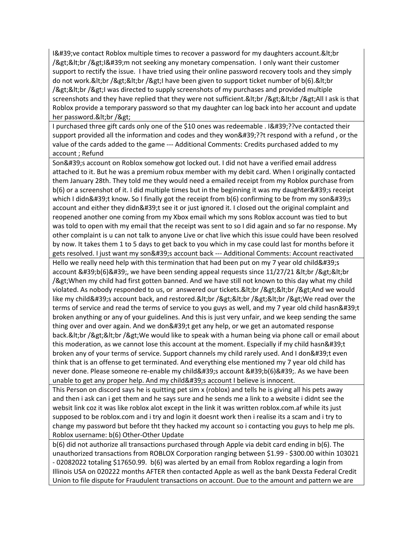$18#39$ ; ve contact Roblox multiple times to recover a password for my daughters account.  $< 1$ /><br /&gt;I&#39;m not seeking any monetary compensation. I only want their customer support to rectify the issue. I have tried using their online password recovery tools and they simply do not work.&It;br />&It;br />I have been given to support ticket number of b(6).&It;br /><br /&gt;I was directed to supply screenshots of my purchases and provided multiple screenshots and they have replied that they were not sufficient.&It;br />&It;br />All I ask is that Roblox provide a temporary password so that my daughter can log back into her account and update her password.&It;br />

I purchased three gift cards only one of the \$10 ones was redeemable . I'??ve contacted their support provided all the information and codes and they won'??t respond with a refund, or the value of the cards added to the game --- Additional Comments: Credits purchased added to my account ; Refund

Son's account on Roblox somehow got locked out. I did not have a verified email address attached to it. But he was a premium robux member with my debit card. When I originally contacted them January 28th. They told me they would need a emailed receipt from my Roblox purchase from  $b(6)$  or a screenshot of it. I did multiple times but in the beginning it was my daughter $&\#39$ ; receipt which I didn't know. So I finally got the receipt from  $b(6)$  confirming to be from my son's account and either they didn't see it or just ignored it. I closed out the original complaint and reopened another one coming from my Xbox email which my sons Roblox account was tied to but was told to open with my email that the receipt was sent to so I did again and so far no response. My other complaint is u can not talk to anyone Live or chat live which this issue could have been resolved by now. It takes them 1 to 5 days to get back to you which in my case could last for months before it gets resolved. I just want my son's account back --- Additional Comments: Account reactivated Hello we really need help with this termination that had been put on my 7 year old child's account  $' b(6)'$ , we have been sending appeal requests since  $11/27/21$   $< 1$ ,  $< 2$   $< 1$ /> When my child had first gotten banned. And we have still not known to this day what my child violated. As nobody responded to us, or answered our tickets.&It;br />&It;br />And we would like my child's account back, and restored.<br /&gt;&lt;br /&gt;&lt;br /&gt;We read over the terms of service and read the terms of service to you guys as well, and my 7 year old child hasn't broken anything or any of your guidelines. And this is just very unfair, and we keep sending the same thing over and over again. And we don't get any help, or we get an automated response back.&It;br />&It;br />We would like to speak with a human being via phone call or email about this moderation, as we cannot lose this account at the moment. Especially if my child hasn't broken any of your terms of service. Support channels my child rarely used. And I don't even think that is an offense to get terminated. And everything else mentioned my 7 year old child has never done. Please someone re-enable my child's account 'b(6)'. As we have been unable to get any proper help. And my child's account I believe is innocent.

This Person on discord says he is quitting pet sim x (roblox) and tells he is giving all his pets away and then i ask can i get them and he says sure and he sends me a link to a website i didnt see the websit link coz it was like roblox alot except in the link it was written roblox.com.af while its just supposed to be roblox.com and i try and login it doesnt work then i realise its a scam and i try to change my password but before tht they hacked my account so i contacting you guys to help me pls. Roblox username: b(6) Other-Other Update

b(6) did not authorize all transactions purchased through Apple via debit card ending in b(6). The unauthorized transactions from ROBLOX Corporation ranging between \$1.99 - \$300.00 within 103021 - 02082022 totaling \$17650.99. b(6) was alerted by an email from Roblox regarding a login from Illinois USA on 020222 months AFTER then contacted Apple as well as the bank Dexsta Federal Credit Union to file dispute for Fraudulent transactions on account. Due to the amount and pattern we are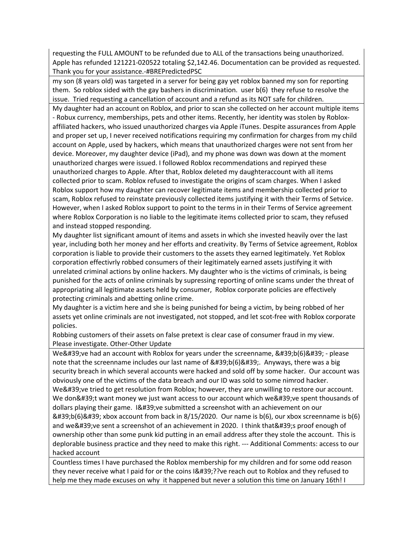requesting the FULL AMOUNT to be refunded due to ALL of the transactions being unauthorized. Apple has refunded 121221-020522 totaling \$2,142.46. Documentation can be provided as requested. Thank you for your assistance.-#BREPredictedPSC

my son (8 years old) was targeted in a server for being gay yet roblox banned my son for reporting them. So roblox sided with the gay bashers in discrimination. user b(6) they refuse to resolve the issue. Tried requesting a cancellation of account and a refund as its NOT safe for children.

My daughter had an account on Roblox, and prior to scan she collected on her account multiple items - Robux currency, memberships, pets and other items. Recently, her identity was stolen by Robloxaffiliated hackers, who issued unauthorized charges via Apple iTunes. Despite assurances from Apple and proper set up, I never received notifications requiring my confirmation for charges from my child account on Apple, used by hackers, which means that unauthorized charges were not sent from her device. Moreover, my daughter device (iPad), and my phone was down was down at the moment unauthorized charges were issued. I followed Roblox recommendations and repiryed these unauthorized charges to Apple. After that, Roblox deleted my daughteraccount with all items collected prior to scam. Roblox refused to investigate the origins of scam charges. When I asked Roblox support how my daughter can recover legitimate items and membership collected prior to scam, Roblox refused to reinstate previously collected items justifying it with their Terms of Setvice. However, when I asked Roblox support to point to the terms in in their Terms of Service agreement where Roblox Corporation is no liable to the legitimate items collected prior to scam, they refused and instead stopped responding.

My daughter list significant amount of items and assets in which she invested heavily over the last year, including both her money and her efforts and creativity. By Terms of Setvice agreement, Roblox corporation is liable to provide their customers to the assets they earned legitimately. Yet Roblox corporation effectivrly robbed consumers of their legitimately earned assets justifying it with unrelated criminal actions by online hackers. My daughter who is the victims of criminals, is being punished for the acts of online criminals by supressing reporting of online scams under the threat of appropriating all legitimate assets held by consumer, Roblox corporate policies are effectively protecting criminals and abetting online crime.

My daughter is a victim here and she is being punished for being a victim, by being robbed of her assets yet online criminals are not investigated, not stopped, and let scot-free with Roblox corporate policies.

Robbing customers of their assets on false pretext is clear case of consumer fraud in my view. Please investigate. Other-Other Update

We' ve had an account with Roblox for years under the screenname,  $&\#39; b(6)&\#39; -$  please note that the screenname includes our last name of 'b(6)'. Anyways, there was a big security breach in which several accounts were hacked and sold off by some hacker. Our account was obviously one of the victims of the data breach and our ID was sold to some nimrod hacker. We've tried to get resolution from Roblox; however, they are unwilling to restore our account. We don't want money we just want access to our account which we've spent thousands of dollars playing their game. I' ve submitted a screenshot with an achievement on our  $&\#39;b(6)&\#39;$  xbox account from back in 8/15/2020. Our name is b(6), our xbox screenname is b(6) and we' ve sent a screenshot of an achievement in 2020. I think that' s proof enough of ownership other than some punk kid putting in an email address after they stole the account. This is deplorable business practice and they need to make this right. --- Additional Comments: access to our hacked account

Countless times I have purchased the Roblox membership for my children and for some odd reason they never receive what I paid for or the coins I'??ve reach out to Roblox and they refused to help me they made excuses on why it happened but never a solution this time on January 16th! I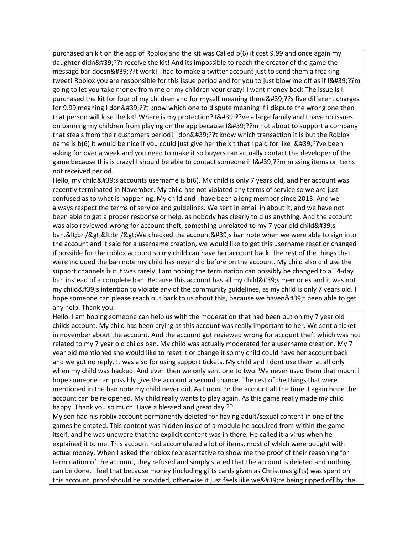purchased an kit on the app of Roblox and the kit was Called b(6) it cost 9.99 and once again my daughter didn'??t receive the kit! And its impossible to reach the creator of the game the message bar doesn'??t work! I had to make a twitter account just to send them a freaking tweet! Roblox you are responsible for this issue period and for you to just blow me off as if I'??m going to let you take money from me or my children your crazy! I want money back The issue is I purchased the kit for four of my children and for myself meaning there'??s five different charges for 9.99 meaning I don'??t know which one to dispute meaning if I dispute the wrong one then that person will lose the kit! Where is my protection? I'??ve a large family and I have no issues on banning my children from playing on the app because I'??m not about to support a company that steals from their customers period! I don'??t know which transaction it is but the Roblox name is b(6) it would be nice if you could just give her the kit that I paid for like I'??ve been asking for over a week and you need to make it so buyers can actually contact the developer of the game because this is crazy! I should be able to contact someone if  $1\&\#39;$ ?m missing items or items not received period.

Hello, my child's accounts username is  $b(6)$ . My child is only 7 years old, and her account was recently terminated in November. My child has not violated any terms of service so we are just confused as to what is happening. My child and I have been a long member since 2013. And we always respect the terms of service and guidelines. We sent in email in about it, and we have not been able to get a proper response or help, as nobody has clearly told us anything. And the account was also reviewed wrong for account theft, something unrelated to my 7 year old child's ban.&It;br />&It;br />We checked the account's ban note when we were able to sign into the account and it said for a username creation, we would like to get this username reset or changed if possible for the roblox account so my child can have her account back. The rest of the things that were included the ban note my child has never did before on the account. My child also did use the support channels but it was rarely. I am hoping the termination can possibly be changed to a 14-day ban instead of a complete ban. Because this account has all my child's memories and it was not my child's intention to violate any of the community guidelines, as my child is only 7 years old. I hope someone can please reach out back to us about this, because we haven't been able to get any help. Thank you.

Hello. I am hoping someone can help us with the moderation that had been put on my 7 year old childs account. My child has been crying as this account was really important to her. We sent a ticket in november about the account. And the account got reviewed wrong for account theft which was not related to my 7 year old childs ban. My child was actually moderated for a username creation. My 7 year old mentioned she would like to reset it or change it so my child could have her account back and we got no reply. It was also for using support tickets. My child and I dont use them at all only when my child was hacked. And even then we only sent one to two. We never used them that much. I hope someone can possibly give the account a second chance. The rest of the things that were mentioned in the ban note my child never did. As I monitor the account all the time. I again hope the account can be re opened. My child really wants to play again. As this game really made my child happy. Thank you so much. Have a blessed and great day.??

My son had his roblix account permanently deleted for having adult/sexual content in one of the games he created. This content was hidden inside of a module he acquired from within the game itself, and he was unaware that the explicit content was in there. He called it a virus when he explained it to me. This account had accumulated a lot of items, most of which were bought with actual money. When I asked the roblox representative to show me the proof of their reasoning for termination of the account, they refused and simply stated that the account is deleted and nothing can be done. I feel that because money (including gifts cards given as Christmas gifts) was spent on this account, proof should be provided, otherwise it just feels like we're being ripped off by the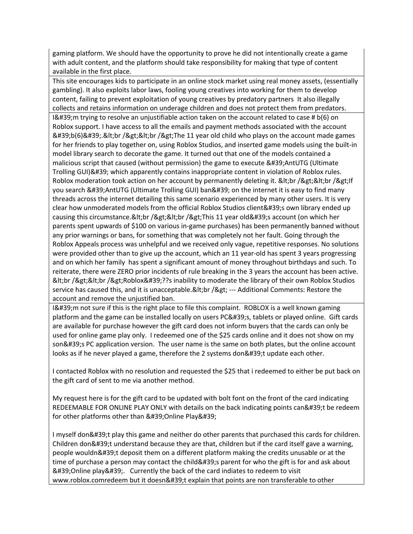gaming platform. We should have the opportunity to prove he did not intentionally create a game with adult content, and the platform should take responsibility for making that type of content available in the first place.

This site encourages kids to participate in an online stock market using real money assets, (essentially gambling). It also exploits labor laws, fooling young creatives into working for them to develop content, failing to prevent exploitation of young creatives by predatory partners It also illegally collects and retains information on underage children and does not protect them from predators.  $18.439$ ; m trying to resolve an unjustifiable action taken on the account related to case #  $b(6)$  on Roblox support. I have access to all the emails and payment methods associated with the account  $' b(6)' .  
g(7)$  / Eqs. / Agt; The 11 year old child who plays on the account made games for her friends to play together on, using Roblox Studios, and inserted game models using the built-in model library search to decorate the game. It turned out that one of the models contained a malicious script that caused (without permission) the game to execute 'AntUTG (Ultimate Trolling GUI)' which apparently contains inappropriate content in violation of Roblox rules. Roblox moderation took action on her account by permanently deleting it.  $<$ It;br />&It;br />If you search 'AntUTG (Ultimate Trolling GUI) ban' on the internet it is easy to find many threads across the internet detailing this same scenario experienced by many other users. It is very clear how unmoderated models from the official Roblox Studios client's own library ended up causing this circumstance.&It;br />&It;br />This 11 year old's account (on which her parents spent upwards of \$100 on various in-game purchases) has been permanently banned without any prior warnings or bans, for something that was completely not her fault. Going through the Roblox Appeals process was unhelpful and we received only vague, repetitive responses. No solutions were provided other than to give up the account, which an 11 year-old has spent 3 years progressing and on which her family has spent a significant amount of money throughout birthdays and such. To reiterate, there were ZERO prior incidents of rule breaking in the 3 years the account has been active. <br /&gt;&lt;br /&gt;Roblox&#39;??s inability to moderate the library of their own Roblox Studios service has caused this, and it is unacceptable.&It;br /> --- Additional Comments: Restore the account and remove the unjustified ban.

I'm not sure if this is the right place to file this complaint. ROBLOX is a well known gaming platform and the game can be installed locally on users PC's, tablets or played online. Gift cards are available for purchase however the gift card does not inform buyers that the cards can only be used for online game play only. I redeemed one of the \$25 cards online and it does not show on my son's PC application version. The user name is the same on both plates, but the online account looks as if he never played a game, therefore the 2 systems don't update each other.

I contacted Roblox with no resolution and requested the \$25 that i redeemed to either be put back on the gift card of sent to me via another method.

My request here is for the gift card to be updated with bolt font on the front of the card indicating REDEEMABLE FOR ONLINE PLAY ONLY with details on the back indicating points can't be redeem for other platforms other than ' Online Play'

I myself don't play this game and neither do other parents that purchased this cards for children. Children don't understand because they are that, children but if the card itself gave a warning, people wouldn't deposit them on a different platform making the credits unusable or at the time of purchase a person may contact the child's parent for who the gift is for and ask about 'Online play' Currently the back of the card indiates to redeem to visit www.roblox.comredeem but it doesn't explain that points are non transferable to other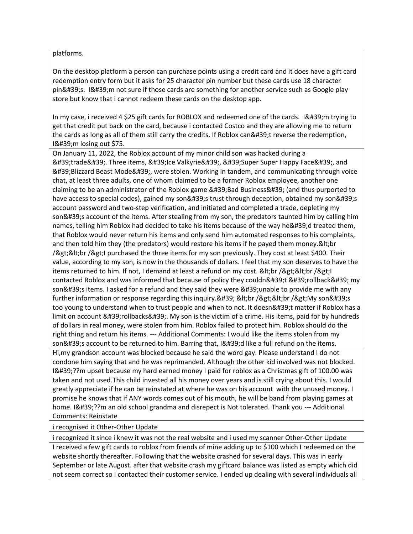## platforms.

On the desktop platform a person can purchase points using a credit card and it does have a gift card redemption entry form but it asks for 25 character pin number but these cards use 18 character pin's. I'm not sure if those cards are something for another service such as Google play store but know that i cannot redeem these cards on the desktop app.

In my case, i received 4 \$25 gift cards for ROBLOX and redeemed one of the cards. 1'm trying to get that credit put back on the card, because i contacted Costco and they are allowing me to return the cards as long as all of them still carry the credits. If Roblox can't reverse the redemption, 1'm losing out \$75.

On January 11, 2022, the Roblox account of my minor child son was hacked during a 'trade'. Three items, 'lce Valkyrie', 'Super Super Happy Face', and  $'$ Blizzard Beast Mode & #39;, were stolen. Working in tandem, and communicating through voice chat, at least three adults, one of whom claimed to be a former Roblox employee, another one claiming to be an administrator of the Roblox game 'Bad Business' (and thus purported to have access to special codes), gained my son's trust through deception, obtained my son's account password and two-step verification, and initiated and completed a trade, depleting my son's account of the items. After stealing from my son, the predators taunted him by calling him names, telling him Roblox had decided to take his items because of the way he'd treated them, that Roblox would never return his items and only send him automated responses to his complaints, and then told him they (the predators) would restore his items if he payed them money. & It; br /><br /&gt;I purchased the three items for my son previously. They cost at least \$400. Their value, according to my son, is now in the thousands of dollars. I feel that my son deserves to have the items returned to him. If not, I demand at least a refund on my cost.  $\<$ It;br / $\<$ It;br / $\>$ It;l contacted Roblox and was informed that because of policy they couldn't 'rollback' my son's items. I asked for a refund and they said they were 'unable to provide me with any further information or response regarding this inquiry.' <br /&gt;&lt;br /&gt;My son&#39;s too young to understand when to trust people and when to not. It doesn't matter if Roblox has a limit on account  $&\#39$ ; rollbacks $&\#39$ ;. My son is the victim of a crime. His items, paid for by hundreds of dollars in real money, were stolen from him. Roblox failed to protect him. Roblox should do the right thing and return his items. --- Additional Comments: I would like the items stolen from my son $\&$ #39;s account to be returned to him. Barring that, I $&$ #39;d like a full refund on the items. Hi,my grandson account was blocked because he said the word gay. Please understand I do not condone him saying that and he was reprimanded. Although the other kid involved was not blocked. I'??m upset because my hard earned money I paid for roblox as a Christmas gift of 100.00 was taken and not used.This child invested all his money over years and is still crying about this. I would greatly appreciate if he can be reinstated at where he was on his account with the unused money. I promise he knows that if ANY words comes out of his mouth, he will be band from playing games at home. I'??m an old school grandma and disrepect is Not tolerated. Thank you --- Additional Comments: Reinstate

i recognised it Other-Other Update

i recognized it since i knew it was not the real website and i used my scanner Other-Other Update I received a few gift cards to roblox from friends of mine adding up to \$100 which I redeemed on the website shortly thereafter. Following that the website crashed for several days. This was in early September or late August. after that website crash my giftcard balance was listed as empty which did not seem correct so I contacted their customer service. I ended up dealing with several individuals all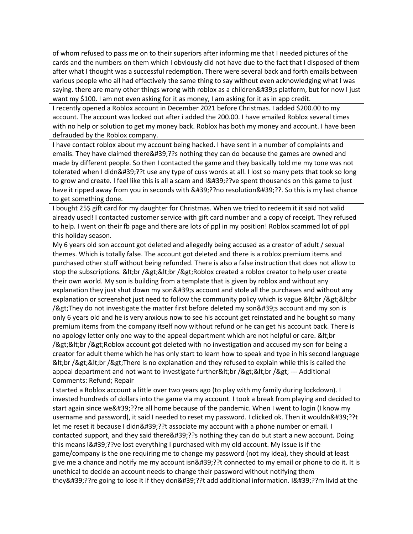of whom refused to pass me on to their superiors after informing me that I needed pictures of the cards and the numbers on them which I obviously did not have due to the fact that I disposed of them after what I thought was a successful redemption. There were several back and forth emails between various people who all had effectively the same thing to say without even acknowledging what I was saying, there are many other things wrong with roblox as a children's platform, but for now I just want my \$100. I am not even asking for it as money, I am asking for it as in app credit.

I recently opened a Roblox account in December 2021 before Christmas. I added \$200.00 to my account. The account was locked out after i added the 200.00. I have emailed Roblox several times with no help or solution to get my money back. Roblox has both my money and account. I have been defrauded by the Roblox company.

I have contact roblox about my account being hacked. I have sent in a number of complaints and emails. They have claimed there '??s nothing they can do because the games are owned and made by different people. So then I contacted the game and they basically told me my tone was not tolerated when I didn'??t use any type of cuss words at all. I lost so many pets that took so long to grow and create. I feel like this is all a scam and I'??ve spent thousands on this game to just have it ripped away from you in seconds with '??no resolution'??. So this is my last chance to get something done.

I bought 25\$ gift card for my daughter for Christmas. When we tried to redeem it it said not valid already used! I contacted customer service with gift card number and a copy of receipt. They refused to help. I went on their fb page and there are lots of ppl in my position! Roblox scammed lot of ppl this holiday season.

My 6 years old son account got deleted and allegedly being accused as a creator of adult / sexual themes. Which is totally false. The account got deleted and there is a roblox premium items and purchased other stuff without being refunded. There is also a false instruction that does not allow to stop the subscriptions. &It;br />&It;br />Roblox created a roblox creator to help user create their own world. My son is building from a template that is given by roblox and without any explanation they just shut down my son's account and stole all the purchases and without any explanation or screenshot just need to follow the community policy which is vague &It;br />&It;br /> They do not investigate the matter first before deleted my son' s account and my son is only 6 years old and he is very anxious now to see his account get reinstated and he bought so many premium items from the company itself now without refund or he can get his account back. There is no apology letter only one way to the appeal department which are not helpful or care. & It; br /><br /&gt;Roblox account got deleted with no investigation and accused my son for being a creator for adult theme which he has only start to learn how to speak and type in his second language &It;br />&It;br />There is no explanation and they refused to explain while this is called the appeal department and not want to investigate further<br /&gt;&lt;br /&gt; --- Additional Comments: Refund; Repair

I started a Roblox account a little over two years ago (to play with my family during lockdown). I invested hundreds of dollars into the game via my account. I took a break from playing and decided to start again since we'??re all home because of the pandemic. When I went to login (I know my username and password), it said I needed to reset my password. I clicked ok. Then it wouldn'??t let me reset it because I didn'??t associate my account with a phone number or email. I contacted support, and they said there '??s nothing they can do but start a new account. Doing this means I'??ve lost everything I purchased with my old account. My issue is if the game/company is the one requiring me to change my password (not my idea), they should at least give me a chance and notify me my account isn'??t connected to my email or phone to do it. It is unethical to decide an account needs to change their password without notifying them they'??re going to lose it if they don'??t add additional information. I'??m livid at the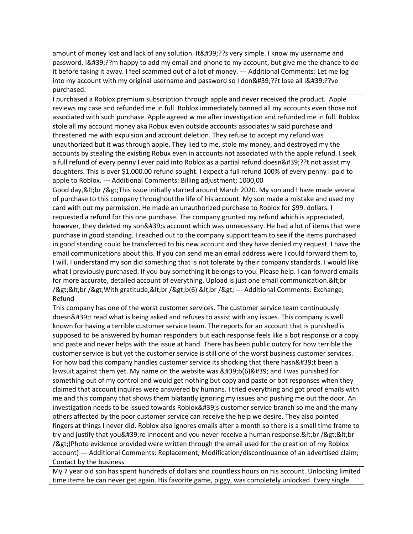amount of money lost and lack of any solution. It '??s very simple. I know my username and password. I'??m happy to add my email and phone to my account, but give me the chance to do it before taking it away. I feel scammed out of a lot of money. --- Additional Comments: Let me log into my account with my original username and password so I don'??t lose all I'??ve purchased.

I purchased a Roblox premium subscription through apple and never received the product. Apple reviews my case and refunded me in full. Roblox immediately banned all my accounts even those not associated with such purchase. Apple agreed w me after investigation and refunded me in full. Roblox stole all my account money aka Robux even outside accounts associates w said purchase and threatened me with expulsion and account deletion. They refuse to accept my refund was unauthorized but it was through apple. They lied to me, stole my money, and destroyed my the accounts by stealing the existing Robux even in accounts not associated with the apple refund. I seek a full refund of every penny I ever paid into Roblox as a partial refund doesn'??t not assist my daughters. This is over \$1,000.00 refund sought. I expect a full refund 100% of every penny I paid to apple to Roblox. --- Additional Comments: Billing adjustment; 1000,00

Good day, & It; br / & gt; This issue initially started around March 2020. My son and I have made several of purchase to this company throughoutthe life of his account. My son made a mistake and used my card with out my permission. He made an unauthorized purchase to Roblox for \$99. dollars. I requested a refund for this one purchase. The company grunted my refund which is appreciated, however, they deleted my son's account which was unnecessary. He had a lot of items that were purchase in good standing. I reached out to the company support team to see if the items purchased in good standing could be transferred to his new account and they have denied my request. I have the email communications about this. If you can send me an email address were I could forward them to, I will. I understand my son did something that is not tolerate by their company standards. I would like what I previously purchased. If you buy something it belongs to you. Please help. I can forward emails for more accurate, detailed account of everything. Upload is just one email communication.&It;br /><br /&gt;With gratitude,&lt;br /&gt;b(6) &lt;br /&gt; --- Additional Comments: Exchange; Refund

This company has one of the worst customer services. The customer service team continuously doesn't read what is being asked and refuses to assist with any issues. This company is well known for having a terrible customer service team. The reports for an account that is punished is supposed to be answered by human responders but each response feels like a bot response or a copy and paste and never helps with the issue at hand. There has been public outcry for how terrible the customer service is but yet the customer service is still one of the worst business customer services. For how bad this company handles customer service its shocking that there hasn't been a lawsuit against them yet. My name on the website was  $&\#39;b(6)\&\#39;$  and I was punished for something out of my control and would get nothing but copy and paste or bot responses when they claimed that account inquires were answered by humans. I tried everything and got proof emails with me and this company that shows them blatantly ignoring my issues and pushing me out the door. An investigation needs to be issued towards Roblox's customer service branch so me and the many others affected by the poor customer service can receive the help we desire. They also pointed fingers at things I never did. Roblox also ignores emails after a month so there is a small time frame to try and justify that you're innocent and you never receive a human response.&It;br />&It;br /> (Photo evidence provided were written through the email used for the creation of my Roblox account) --- Additional Comments: Replacement; Modification/discontinuance of an advertised claim; Contact by the business

My 7 year old son has spent hundreds of dollars and countless hours on his account. Unlocking limited time items he can never get again. His favorite game, piggy, was completely unlocked. Every single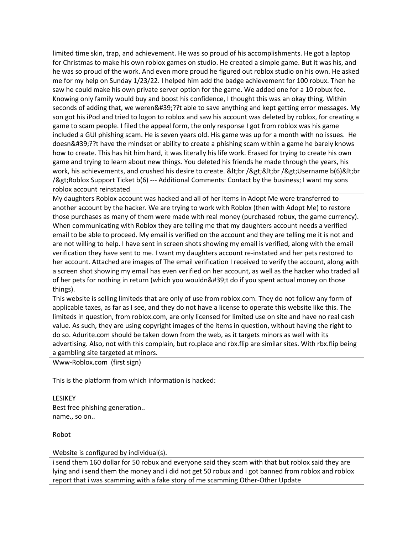limited time skin, trap, and achievement. He was so proud of his accomplishments. He got a laptop for Christmas to make his own roblox games on studio. He created a simple game. But it was his, and he was so proud of the work. And even more proud he figured out roblox studio on his own. He asked me for my help on Sunday 1/23/22. I helped him add the badge achievement for 100 robux. Then he saw he could make his own private server option for the game. We added one for a 10 robux fee. Knowing only family would buy and boost his confidence, I thought this was an okay thing. Within seconds of adding that, we weren'??t able to save anything and kept getting error messages. My son got his iPod and tried to logon to roblox and saw his account was deleted by roblox, for creating a game to scam people. I filed the appeal form, the only response I got from roblox was his game included a GUI phishing scam. He is seven years old. His game was up for a month with no issues. He doesn'??t have the mindset or ability to create a phishing scam within a game he barely knows how to create. This has hit him hard, it was literally his life work. Erased for trying to create his own game and trying to learn about new things. You deleted his friends he made through the years, his work, his achievements, and crushed his desire to create. &It;br />&It;br />Username b(6)&It;br /> Roblox Support Ticket b(6) --- Additional Comments: Contact by the business; I want my sons roblox account reinstated

My daughters Roblox account was hacked and all of her items in Adopt Me were transferred to another account by the hacker. We are trying to work with Roblox (then with Adopt Me) to restore those purchases as many of them were made with real money (purchased robux, the game currency). When communicating with Roblox they are telling me that my daughters account needs a verified email to be able to proceed. My email is verified on the account and they are telling me it is not and are not willing to help. I have sent in screen shots showing my email is verified, along with the email verification they have sent to me. I want my daughters account re-instated and her pets restored to her account. Attached are images of The email verification I received to verify the account, along with a screen shot showing my email has even verified on her account, as well as the hacker who traded all of her pets for nothing in return (which you wouldn't do if you spent actual money on those things).

This website is selling limiteds that are only of use from roblox.com. They do not follow any form of applicable taxes, as far as I see, and they do not have a license to operate this website like this. The limiteds in question, from roblox.com, are only licensed for limited use on site and have no real cash value. As such, they are using copyright images of the items in question, without having the right to do so. Adurite.com should be taken down from the web, as it targets minors as well with its advertising. Also, not with this complain, but ro.place and rbx.flip are similar sites. With rbx.flip being a gambling site targeted at minors.

Www-Roblox.com (first sign)

This is the platform from which information is hacked:

LESIKEY Best free phishing generation.. name., so on..

Robot

Website is configured by individual(s).

i send them 160 dollar for 50 robux and everyone said they scam with that but roblox said they are lying and i send them the money and i did not get 50 robux and i got banned from roblox and roblox report that i was scamming with a fake story of me scamming Other-Other Update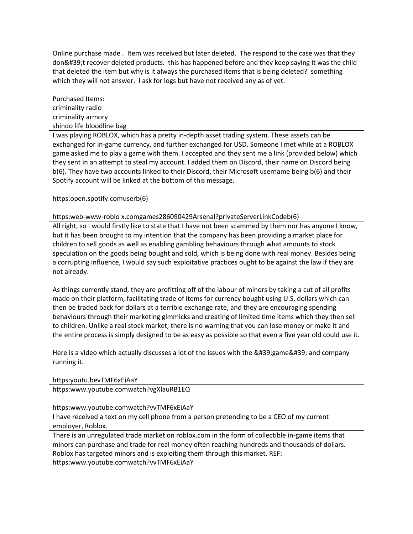Online purchase made . Item was received but later deleted. The respond to the case was that they don't recover deleted products. this has happened before and they keep saying it was the child that deleted the item but why is it always the purchased items that is being deleted? something which they will not answer. I ask for logs but have not received any as of yet.

Purchased Items: criminality radio criminality armory shindo life bloodline bag

I was playing ROBLOX, which has a pretty in-depth asset trading system. These assets can be exchanged for in-game currency, and further exchanged for USD. Someone I met while at a ROBLOX game asked me to play a game with them. I accepted and they sent me a link (provided below) which they sent in an attempt to steal my account. I added them on Discord, their name on Discord being b(6). They have two accounts linked to their Discord, their Microsoft username being b(6) and their Spotify account will be linked at the bottom of this message.

https:open.spotify.comuserb(6)

https:web-www-roblo x.comgames286090429Arsenal?privateServerLinkCodeb(6)

All right, so I would firstly like to state that I have not been scammed by them nor has anyone I know, but it has been brought to my intention that the company has been providing a market place for children to sell goods as well as enabling gambling behaviours through what amounts to stock speculation on the goods being bought and sold, which is being done with real money. Besides being a corrupting influence, I would say such exploitative practices ought to be against the law if they are not already.

As things currently stand, they are profitting off of the labour of minors by taking a cut of all profits made on their platform, facilitating trade of items for currency bought using U.S. dollars which can then be traded back for dollars at a terrible exchange rate, and they are encouraging spending behaviours through their marketing gimmicks and creating of limited time items which they then sell to children. Unlike a real stock market, there is no warning that you can lose money or make it and the entire process is simply designed to be as easy as possible so that even a five year old could use it.

Here is a video which actually discusses a lot of the issues with the 'game' and company running it.

https:youtu.bevTMF6xEiAaY

https:www.youtube.comwatch?vgXlauRB1EQ

https:www.youtube.comwatch?vvTMF6xEiAaY

I have received a text on my cell phone from a person pretending to be a CEO of my current employer, Roblox.

There is an unregulated trade market on roblox.com in the form of collectible in-game items that minors can purchase and trade for real money often reaching hundreds and thousands of dollars. Roblox has targeted minors and is exploiting them through this market. REF: https:www.youtube.comwatch?vvTMF6xEiAaY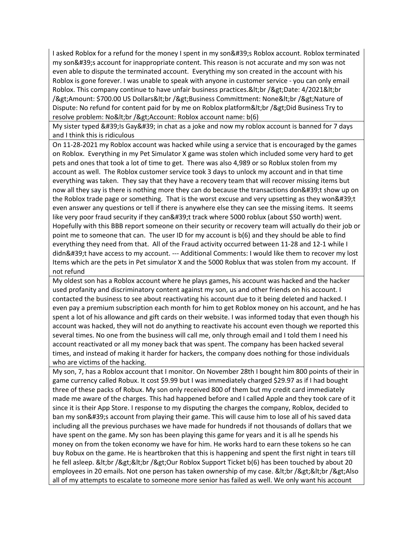I asked Roblox for a refund for the money I spent in my son's Roblox account. Roblox terminated my son's account for inappropriate content. This reason is not accurate and my son was not even able to dispute the terminated account. Everything my son created in the account with his Roblox is gone forever. I was unable to speak with anyone in customer service - you can only email Roblox. This company continue to have unfair business practices.&It;br />Date: 4/2021&It;br />Amount: \$700.00 US Dollars<br /&gt;Business Committment: None&lt;br /&gt;Nature of Dispute: No refund for content paid for by me on Roblox platform<br /&gt;Did Business Try to resolve problem: No<br /&gt;Account: Roblox account name: b(6)

My sister typed ' Is Gay' in chat as a joke and now my roblox account is banned for 7 days and I think this is ridiculous

On 11-28-2021 my Roblox account was hacked while using a service that is encouraged by the games on Roblox. Everything in my Pet Simulator X game was stolen which included some very hard to get pets and ones that took a lot of time to get. There was also 4,989 or so Roblux stolen from my account as well. The Roblox customer service took 3 days to unlock my account and in that time everything was taken. They say that they have a recovery team that will recover missing items but now all they say is there is nothing more they can do because the transactions don 't show up on the Roblox trade page or something. That is the worst excuse and very upsetting as they won  $\&\#39;$ t even answer any questions or tell if there is anywhere else they can see the missing items. It seems like very poor fraud security if they can't track where 5000 roblux (about \$50 worth) went. Hopefully with this BBB report someone on their security or recovery team will actually do their job or point me to someone that can. The user ID for my account is b(6) and they should be able to find everything they need from that. All of the Fraud activity occurred between 11-28 and 12-1 while I didn't have access to my account. --- Additional Comments: I would like them to recover my lost Items which are the pets in Pet simulator X and the 5000 Roblux that was stolen from my account. If not refund

My oldest son has a Roblox account where he plays games, his account was hacked and the hacker used profanity and discriminatory content against my son, us and other friends on his account. I contacted the business to see about reactivating his account due to it being deleted and hacked. I even pay a premium subscription each month for him to get Roblox money on his account, and he has spent a lot of his allowance and gift cards on their website. I was informed today that even though his account was hacked, they will not do anything to reactivate his account even though we reported this several times. No one from the business will call me, only through email and I told them I need his account reactivated or all my money back that was spent. The company has been hacked several times, and instead of making it harder for hackers, the company does nothing for those individuals who are victims of the hacking.

My son, 7, has a Roblox account that I monitor. On November 28th I bought him 800 points of their in game currency called Robux. It cost \$9.99 but I was immediately charged \$29.97 as if I had bought three of these packs of Robux. My son only received 800 of them but my credit card immediately made me aware of the charges. This had happened before and I called Apple and they took care of it since it is their App Store. I response to my disputing the charges the company, Roblox, decided to ban my son's account from playing their game. This will cause him to lose all of his saved data including all the previous purchases we have made for hundreds if not thousands of dollars that we have spent on the game. My son has been playing this game for years and it is all he spends his money on from the token economy we have for him. He works hard to earn these tokens so he can buy Robux on the game. He is heartbroken that this is happening and spent the first night in tears till he fell asleep. & t; br / & gt; & t; br / & gt; Our Roblox Support Ticket  $b(6)$  has been touched by about 20 employees in 20 emails. Not one person has taken ownership of my case. &It;br />&It;br />Also all of my attempts to escalate to someone more senior has failed as well. We only want his account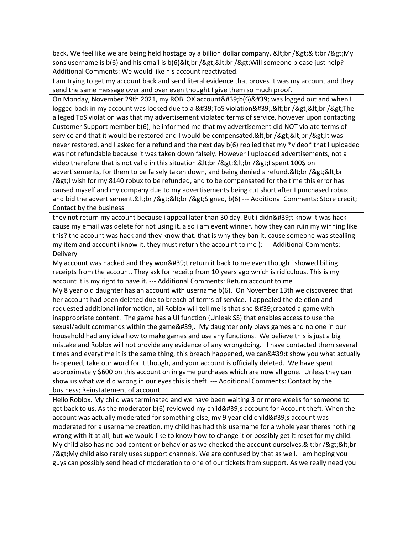back. We feel like we are being held hostage by a billion dollar company. &It;br />&It;br />My sons username is  $b(6)$  and his email is  $b(6)$ <br /&gt;&lt;br /&gt;Will someone please just help? ---Additional Comments: We would like his account reactivated.

I am trying to get my account back and send literal evidence that proves it was my account and they send the same message over and over even thought I give them so much proof.

On Monday, November 29th 2021, my ROBLOX account'b(6)' was logged out and when I logged back in my account was locked due to a  $&\#39$ ; ToS violation $&\#39$ ;  $&\#1$ ; br / $&\#25$ ;  $&\#15$ ; The alleged ToS violation was that my advertisement violated terms of service, however upon contacting Customer Support member b(6), he informed me that my advertisement did NOT violate terms of service and that it would be restored and I would be compensated.&It;br />&It;br />It was never restored, and I asked for a refund and the next day b(6) replied that my \*video\* that I uploaded was not refundable because it was taken down falsely. However I uploaded advertisements, not a video therefore that is not valid in this situation.&It;br />&It;br />I spent 100\$ on advertisements, for them to be falsely taken down, and being denied a refund. & It; br / & gt; & It; br  $/8$ gt; I wish for my 8140 robux to be refunded, and to be compensated for the time this error has caused myself and my company due to my advertisements being cut short after I purchased robux and bid the advertisement.&It;br />&It;br />Signed, b(6) --- Additional Comments: Store credit; Contact by the business

they not return my account because i appeal later than 30 day. But i didn't know it was hack cause my email was delete for not using it. also i am event winner. how they can ruin my winning like this? the account was hack and they know that. that is why they ban it. cause someone was stealiing my item and account i know it. they must return the accouint to me ): --- Additional Comments: **Delivery** 

My account was hacked and they won't return it back to me even though i showed billing receipts from the account. They ask for receitp from 10 years ago which is ridiculous. This is my account it is my right to have it. --- Additional Comments: Return account to me

My 8 year old daughter has an account with username b(6). On November 13th we discovered that her account had been deleted due to breach of terms of service. I appealed the deletion and requested additional information, all Roblox will tell me is that she ' created a game with inappropriate content. The game has a UI function (Unleak SS) that enables access to use the sexual/adult commands within the game  $\&\#39$ . My daughter only plays games and no one in our household had any idea how to make games and use any functions. We believe this is just a big mistake and Roblox will not provide any evidence of any wrongdoing. I have contacted them several times and everytime it is the same thing, this breach happened, we can 't show you what actually happened, take our word for it though, and your account is officially deleted. We have spent approximately \$600 on this account on in game purchases which are now all gone. Unless they can show us what we did wrong in our eyes this is theft. --- Additional Comments: Contact by the business; Reinstatement of account

Hello Roblox. My child was terminated and we have been waiting 3 or more weeks for someone to get back to us. As the moderator  $b(6)$  reviewed my child ' account for Account theft. When the account was actually moderated for something else, my 9 year old child's account was moderated for a username creation, my child has had this username for a whole year theres nothing wrong with it at all, but we would like to know how to change it or possibly get it reset for my child. My child also has no bad content or behavior as we checked the account ourselves.&It;br />&It;br /> My child also rarely uses support channels. We are confused by that as well. I am hoping you guys can possibly send head of moderation to one of our tickets from support. As we really need you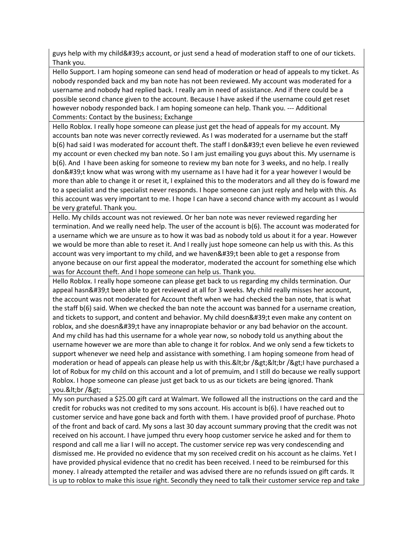guys help with my child's account, or just send a head of moderation staff to one of our tickets. Thank you.

Hello Support. I am hoping someone can send head of moderation or head of appeals to my ticket. As nobody responded back and my ban note has not been reviewed. My account was moderated for a username and nobody had replied back. I really am in need of assistance. And if there could be a possible second chance given to the account. Because I have asked if the username could get reset however nobody responded back. I am hoping someone can help. Thank you. --- Additional Comments: Contact by the business; Exchange

Hello Roblox. I really hope someone can please just get the head of appeals for my account. My accounts ban note was never correctly reviewed. As I was moderated for a username but the staff b(6) had said I was moderated for account theft. The staff I don't even believe he even reviewed my account or even checked my ban note. So I am just emailing you guys about this. My username is b(6). And I have been asking for someone to review my ban note for 3 weeks, and no help. I really don't know what was wrong with my username as I have had it for a year however I would be more than able to change it or reset it, I explained this to the moderators and all they do is foward me to a specialist and the specialist never responds. I hope someone can just reply and help with this. As this account was very important to me. I hope I can have a second chance with my account as I would be very grateful. Thank you.

Hello. My childs account was not reviewed. Or her ban note was never reviewed regarding her termination. And we really need help. The user of the account is b(6). The account was moderated for a username which we are unsure as to how it was bad as nobody told us about it for a year. However we would be more than able to reset it. And I really just hope someone can help us with this. As this account was very important to my child, and we haven't been able to get a response from anyone because on our first appeal the moderator, moderated the account for something else which was for Account theft. And I hope someone can help us. Thank you.

Hello Roblox. I really hope someone can please get back to us regarding my childs termination. Our appeal hasn't been able to get reviewed at all for 3 weeks. My child really misses her account, the account was not moderated for Account theft when we had checked the ban note, that is what the staff b(6) said. When we checked the ban note the account was banned for a username creation, and tickets to support, and content and behavior. My child doesn't even make any content on roblox, and she doesn't have any innapropiate behavior or any bad behavior on the account. And my child has had this username for a whole year now, so nobody told us anything about the username however we are more than able to change it for roblox. And we only send a few tickets to support whenever we need help and assistance with something. I am hoping someone from head of moderation or head of appeals can please help us with this.<br /&gt;&lt;br /&gt;I have purchased a lot of Robux for my child on this account and a lot of premuim, and I still do because we really support Roblox. I hope someone can please just get back to us as our tickets are being ignored. Thank you.&It;br />

My son purchased a \$25.00 gift card at Walmart. We followed all the instructions on the card and the credit for robucks was not credited to my sons account. His account is b(6). I have reached out to customer service and have gone back and forth with them. I have provided proof of purchase. Photo of the front and back of card. My sons a last 30 day account summary proving that the credit was not received on his account. I have jumped thru every hoop customer service he asked and for them to respond and call me a liar I will no accept. The customer service rep was very condescending and dismissed me. He provided no evidence that my son received credit on his account as he claims. Yet I have provided physical evidence that no credit has been received. I need to be reimbursed for this money. I already attempted the retailer and was advised there are no refunds issued on gift cards. It is up to roblox to make this issue right. Secondly they need to talk their customer service rep and take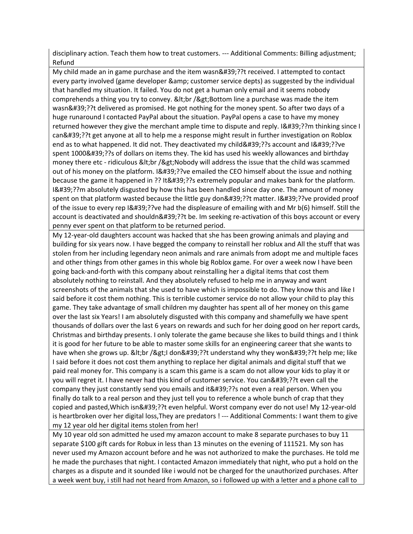disciplinary action. Teach them how to treat customers. --- Additional Comments: Billing adjustment; Refund

My child made an in game purchase and the item wasn'??t received. I attempted to contact every party involved (game developer & amp; customer service depts) as suggested by the individual that handled my situation. It failed. You do not get a human only email and it seems nobody comprehends a thing you try to convey. & It; br / & gt; Bottom line a purchase was made the item wasn'??t delivered as promised. He got nothing for the money spent. So after two days of a huge runaround I contacted PayPal about the situation. PayPal opens a case to have my money returned however they give the merchant ample time to dispute and reply. I'??m thinking since I can'??t get anyone at all to help me a response might result in further investigation on Roblox end as to what happened. It did not. They deactivated my child'??s account and I'??ve spent 1000'??s of dollars on items they. The kid has used his weekly allowances and birthday money there etc - ridiculous <br / &gt; Nobody will address the issue that the child was scammed out of his money on the platform. I'??ve emailed the CEO himself about the issue and nothing because the game it happened in ?? It'??s extremely popular and makes bank for the platform. I'??m absolutely disgusted by how this has been handled since day one. The amount of money spent on that platform wasted because the little guy don'??t matter. I'??ve provided proof of the issue to every rep  $18#39$ ;??ve had the displeasure of emailing with and Mr b(6) himself. Still the account is deactivated and shouldn'??t be. Im seeking re-activation of this boys account or every penny ever spent on that platform to be returned period.

My 12-year-old daughters account was hacked that she has been growing animals and playing and building for six years now. I have begged the company to reinstall her roblux and All the stuff that was stolen from her including legendary neon animals and rare animals from adopt me and multiple faces and other things from other games in this whole big Roblox game. For over a week now I have been going back-and-forth with this company about reinstalling her a digital items that cost them absolutely nothing to reinstall. And they absolutely refused to help me in anyway and want screenshots of the animals that she used to have which is impossible to do. They know this and like I said before it cost them nothing. This is terrible customer service do not allow your child to play this game. They take advantage of small children my daughter has spent all of her money on this game over the last six Years! I am absolutely disgusted with this company and shamefully we have spent thousands of dollars over the last 6 years on rewards and such for her doing good on her report cards, Christmas and birthday presents. I only tolerate the game because she likes to build things and I think it is good for her future to be able to master some skills for an engineering career that she wants to have when she grows up. <br /&gt;I don&#39;??t understand why they won&#39;??t help me; like I said before it does not cost them anything to replace her digital animals and digital stuff that we paid real money for. This company is a scam this game is a scam do not allow your kids to play it or you will regret it. I have never had this kind of customer service. You can'??t even call the company they just constantly send you emails and it'??s not even a real person. When you finally do talk to a real person and they just tell you to reference a whole bunch of crap that they copied and pasted, Which isn'??t even helpful. Worst company ever do not use! My 12-year-old is heartbroken over her digital loss,They are predators ! --- Additional Comments: I want them to give my 12 year old her digital items stolen from her!

My 10 year old son admitted he used my amazon account to make 8 separate purchases to buy 11 separate \$100 gift cards for Robux in less than 13 minutes on the evening of 111521. My son has never used my Amazon account before and he was not authorized to make the purchases. He told me he made the purchases that night. I contacted Amazon immediately that night, who put a hold on the charges as a dispute and it sounded like i would not be charged for the unauthorized purchases. After a week went buy, i still had not heard from Amazon, so i followed up with a letter and a phone call to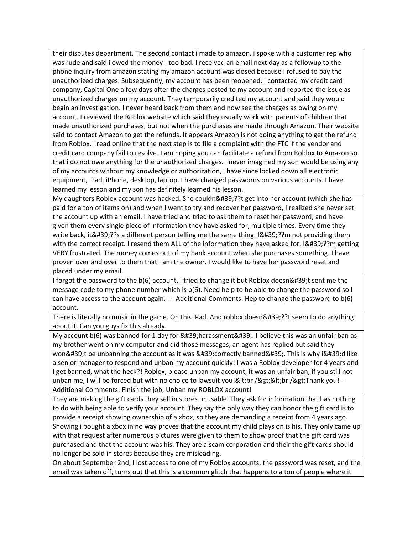their disputes department. The second contact i made to amazon, i spoke with a customer rep who was rude and said i owed the money - too bad. I received an email next day as a followup to the phone inquiry from amazon stating my amazon account was closed because i refused to pay the unauthorized charges. Subsequently, my account has been reopened. I contacted my credit card company, Capital One a few days after the charges posted to my account and reported the issue as unauthorized charges on my account. They temporarily credited my account and said they would begin an investigation. I never heard back from them and now see the charges as owing on my account. I reviewed the Roblox website which said they usually work with parents of children that made unauthorized purchases, but not when the purchases are made through Amazon. Their website said to contact Amazon to get the refunds. It appears Amazon is not doing anything to get the refund from Roblox. I read online that the next step is to file a complaint with the FTC if the vendor and credit card company fail to resolve. I am hoping you can facilitate a refund from Roblox to Amazon so that i do not owe anything for the unauthorized charges. I never imagined my son would be using any of my accounts without my knowledge or authorization, i have since locked down all electronic equipment, iPad, iPhone, desktop, laptop. I have changed passwords on various accounts. I have learned my lesson and my son has definitely learned his lesson.

My daughters Roblox account was hacked. She couldn'??t get into her account (which she has paid for a ton of items on) and when I went to try and recover her password, I realized she never set the account up with an email. I have tried and tried to ask them to reset her password, and have given them every single piece of information they have asked for, multiple times. Every time they write back, it'??s a different person telling me the same thing. I'??m not providing them with the correct receipt. I resend them ALL of the information they have asked for. I'??m getting VERY frustrated. The money comes out of my bank account when she purchases something. I have proven over and over to them that I am the owner. I would like to have her password reset and placed under my email.

I forgot the password to the  $b(6)$  account, I tried to change it but Roblox doesn't sent me the message code to my phone number which is b(6). Need help to be able to change the password so I can have access to the account again. --- Additional Comments: Hep to change the password to b(6) account.

There is literally no music in the game. On this iPad. And roblox doesn'??t seem to do anything about it. Can you guys fix this already.

My account  $b(6)$  was banned for 1 day for ' harassment'. I believe this was an unfair ban as my brother went on my computer and did those messages, an agent has replied but said they won't be unbanning the account as it was 'correctly banned'. This is why i'd like a senior manager to respond and unban my account quickly! I was a Roblox developer for 4 years and I get banned, what the heck?! Roblox, please unban my account, it was an unfair ban, if you still not unban me, I will be forced but with no choice to lawsuit you!&It;br />&It;br />Thank you! ---Additional Comments: Finish the job; Unban my ROBLOX account!

They are making the gift cards they sell in stores unusable. They ask for information that has nothing to do with being able to verify your account. They say the only way they can honor the gift card is to provide a receipt showing ownership of a xbox, so they are demanding a receipt from 4 years ago. Showing i bought a xbox in no way proves that the account my child plays on is his. They only came up with that request after numerous pictures were given to them to show proof that the gift card was purchased and that the account was his. They are a scam corporation and their the gift cards should no longer be sold in stores because they are misleading.

On about September 2nd, I lost access to one of my Roblox accounts, the password was reset, and the email was taken off, turns out that this is a common glitch that happens to a ton of people where it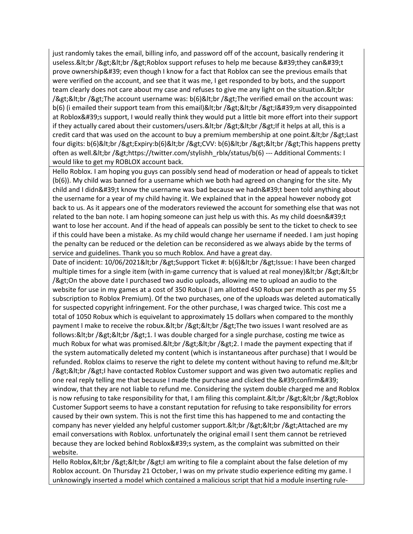just randomly takes the email, billing info, and password off of the account, basically rendering it useless.<br /&gt;&lt;br /&gt;Roblox support refuses to help me because &#39;they can&#39;t prove ownership' even though I know for a fact that Roblox can see the previous emails that were verified on the account, and see that it was me, I get responded to by bots, and the support team clearly does not care about my case and refuses to give me any light on the situation. & It; br  $/8gt;8$ lt;br / $8gt;T$ he account username was: b(6)<br / $8gt;T$ he verified email on the account was: b(6) (i emailed their support team from this email)<br /&gt;&lt;br /&gt;I&#39;m very disappointed at Roblox's support, I would really think they would put a little bit more effort into their support if they actually cared about their customers/users.&It;br />&It;br />If it helps at all, this is a credit card that was used on the account to buy a premium membership at one point.&It;br />Last four digits: b(6)<br /&gt;Expiry:b(6)&lt;br /&gt;CVV: b(6)&lt;br /&gt;&lt;br /&gt;This happens pretty often as well.&It;br />https://twitter.com/stylishh\_rblx/status/b(6) --- Additional Comments: I would like to get my ROBLOX account back.

Hello Roblox. I am hoping you guys can possibly send head of moderation or head of appeals to ticket (b(6)). My child was banned for a username which we both had agreed on changing for the site. My child and I didn't know the username was bad because we hadn't been told anything about the username for a year of my child having it. We explained that in the appeal however nobody got back to us. As it appears one of the moderators reviewed the account for something else that was not related to the ban note. I am hoping someone can just help us with this. As my child doesn 't want to lose her account. And if the head of appeals can possibly be sent to the ticket to check to see if this could have been a mistake. As my child would change her username if needed. I am just hoping the penalty can be reduced or the deletion can be reconsidered as we always abide by the terms of service and guidelines. Thank you so much Roblox. And have a great day.

Date of incident: 10/06/2021&It;br />Support Ticket #: b(6)&It;br />Issue: I have been charged multiple times for a single item (with in-game currency that is valued at real money)&It;br />&It;br /> On the above date I purchased two audio uploads, allowing me to upload an audio to the website for use in my games at a cost of 350 Robux (I am allotted 450 Robux per month as per my \$5 subscription to Roblox Premium). Of the two purchases, one of the uploads was deleted automatically for suspected copyright infringement. For the other purchase, I was charged twice. This cost me a total of 1050 Robux which is equivelant to approximately 15 dollars when compared to the monthly payment I make to receive the robux.<br /&gt;&lt;br /&gt;The two issues I want resolved are as follows:&It;br />&It;br />1. I was double charged for a single purchase, costing me twice as much Robux for what was promised.&It;br />&It;br />2. I made the payment expecting that if the system automatically deleted my content (which is instantaneous after purchase) that I would be refunded. Roblox claims to reserve the right to delete my content without having to refund me. & It; br /><br /&gt;I have contacted Roblox Customer support and was given two automatic replies and one real reply telling me that because I made the purchase and clicked the  $&\#39$ ; confirm $&\#39$ ; window, that they are not liable to refund me. Considering the system double charged me and Roblox is now refusing to take responsibility for that, I am filing this complaint. & It; br / & gt; & It; br / & gt; Roblox Customer Support seems to have a constant reputation for refusing to take responsibility for errors caused by their own system. This is not the first time this has happened to me and contacting the company has never yielded any helpful customer support.&It;br />&It;br />Attached are my email conversations with Roblox. unfortunately the original email I sent them cannot be retrieved because they are locked behind Roblox's system, as the complaint was submitted on their website.

Hello Roblox, & It; br / & gt; & It; br / & gt; I am writing to file a complaint about the false deletion of my Roblox account. On Thursday 21 October, I was on my private studio experience editing my game. I unknowingly inserted a model which contained a malicious script that hid a module inserting rule-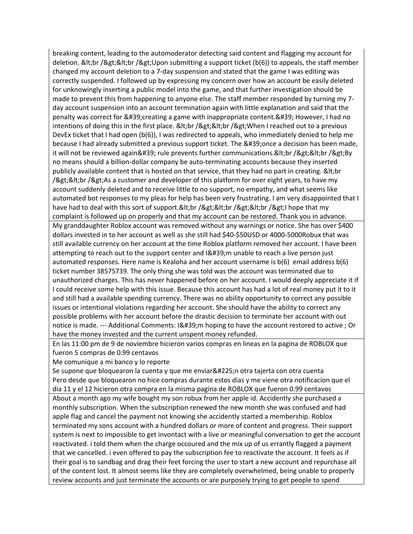breaking content, leading to the automoderator detecting said content and flagging my account for deletion. <br /&gt;&lt;br /&gt;Upon submitting a support ticket (b(6)) to appeals, the staff member changed my account deletion to a 7-day suspension and stated that the game I was editing was correctly suspended. I followed up by expressing my concern over how an account be easily deleted for unknowingly inserting a public model into the game, and that further investigation should be made to prevent this from happening to anyone else. The staff member responded by turning my 7 day account suspension into an account termination again with little explanation and said that the penalty was correct for ' creating a game with inappropriate content. ' However, I had no intentions of doing this in the first place.  $&dtbr/&gdtbr/&gdtWhen I reached out to a previous$ DevEx ticket that I had open (b(6)), I was redirected to appeals, who immediately denied to help me because I had already submitted a previous support ticket. The 'once a decision has been made, it will not be reviewed again' rule prevents further communications.<br /&gt;&lt;br /&gt;By no means should a billion-dollar company be auto-terminating accounts because they inserted publicly available content that is hosted on that service, that they had no part in creating. & It; br  $/$ ><br /&gt;As a customer and developer of this platform for over eight years, to have my account suddenly deleted and to receive little to no support, no empathy, and what seems like automated bot responses to my pleas for help has been very frustrating. I am very disappointed that I have had to deal with this sort of support.&It;br />&It;br />&It;br />I hope that my complaint is followed up on properly and that my account can be restored. Thank you in advance. My granddaughter Roblox account was removed without any warnings or notice. She has over \$400 dollars invested in to her account as well as she still had \$40-\$50USD or 4000-5000Robux that was still available currency on her account at the time Roblox platform removed her account. I have been attempting to reach out to the support center and  $18#39$ ; munable to reach a live person just automated responses. Here name is Kealoha and her account username is b(6) email address b(6) ticket number 38575739. The only thing she was told was the account was terminated due to unauthorized charges. This has never happened before on her account. I would deeply appreciate it if I could receive some help with this issue. Because this account has had a lot of real money put it to it and still had a available spending currency. There was no ability opportunity to correct any possible issues or intentional violations regarding her account. She should have the ability to correct any possible problems with her account before the drastic decision to terminate her account with out notice is made. --- Additional Comments: I'm hoping to have the account restored to active ; Or have the money invested and the current unspent money refunded.

En las 11:00 pm de 9 de noviembre hicieron varios compras en lineas en la pagina de ROBLOX que fueron 5 compras de 0.99 centavos

Me comunique a mi banco y lo reporte

Se supone que bloquearon la cuenta y que me enviarán otra tajerta con otra cuenta Pero desde que bloquearon no hice compras durante estos dias y me viene otra notificacion que el dia 11 y el 12 hicieron otra compra en la misma pagina de ROBLOX que fueron 0.99 centavos

About a month ago my wife bought my son robux from her apple id. Accidently she purchased a monthly subscription. When the subscription renewed the new month she was confused and had apple flag and cancel the payment not knowing she accidently started a membership. Roblox terminated my sons account with a hundred dollars or more of content and progress. Their support system is next to impossible to get invontact with a live or meaningful conversation to get the account reactivated. i told them when the charge occoured and the mix up of us errantly flagged a payment that we cancelled. i even offered to pay the subscription fee to reactivate the account. It feels as if their goal is to sandbag and drag their feet forcing the user to start a new account and repurchase all of the content lost. It almost seems like they are completely overwhelmed, being unable to properly review accounts and just terminate the accounts or are purposely trying to get people to spend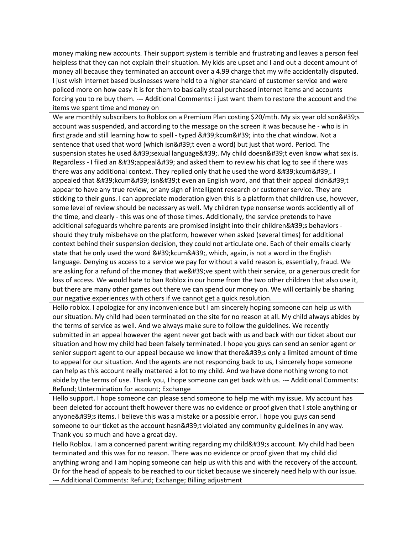money making new accounts. Their support system is terrible and frustrating and leaves a person feel helpless that they can not explain their situation. My kids are upset and I and out a decent amount of money all because they terminated an account over a 4.99 charge that my wife accidentally disputed. I just wish internet based businesses were held to a higher standard of customer service and were policed more on how easy it is for them to basically steal purchased internet items and accounts forcing you to re buy them. --- Additional Comments: i just want them to restore the account and the items we spent time and money on

We are monthly subscribers to Roblox on a Premium Plan costing \$20/mth. My six year old son's account was suspended, and according to the message on the screen it was because he - who is in first grade and still learning how to spell - typed  $&\#39$ ; kcum $&\#39$ ; into the chat window. Not a sentence that used that word (which isn't even a word) but just that word. Period. The suspension states he used 'sexual language'. My child doesn't even know what sex is. Regardless - I filed an 'appeal' and asked them to review his chat log to see if there was there was any additional context. They replied only that he used the word  $&\#39$ ; kcum $&\#39$ ; I appealed that 'kcum' isn't even an English word, and that their appeal didn't appear to have any true review, or any sign of intelligent research or customer service. They are sticking to their guns. I can appreciate moderation given this is a platform that children use, however, some level of review should be necessary as well. My children type nonsense words accidently all of the time, and clearly - this was one of those times. Additionally, the service pretends to have additional safeguards whehre parents are promised insight into their children's behaviors should they truly misbehave on the platform, however when asked (several times) for additional context behind their suspension decision, they could not articulate one. Each of their emails clearly state that he only used the word 'kcum', which, again, is not a word in the English language. Denying us access to a service we pay for without a valid reason is, essentially, fraud. We are asking for a refund of the money that we' ve spent with their service, or a generous credit for loss of access. We would hate to ban Roblox in our home from the two other children that also use it, but there are many other games out there we can spend our money on. We will certainly be sharing our negative experiences with others if we cannot get a quick resolution.

Hello roblox. I apologize for any inconvenience but I am sincerely hoping someone can help us with our situation. My child had been terminated on the site for no reason at all. My child always abides by the terms of service as well. And we always make sure to follow the guidelines. We recently submitted in an appeal however the agent never got back with us and back with our ticket about our situation and how my child had been falsely terminated. I hope you guys can send an senior agent or senior support agent to our appeal because we know that there ' sonly a limited amount of time to appeal for our situation. And the agents are not responding back to us, I sincerely hope someone can help as this account really mattered a lot to my child. And we have done nothing wrong to not abide by the terms of use. Thank you, I hope someone can get back with us. --- Additional Comments: Refund; Untermination for account; Exchange

Hello support. I hope someone can please send someone to help me with my issue. My account has been deleted for account theft however there was no evidence or proof given that I stole anything or anyone's items. I believe this was a mistake or a possible error. I hope you guys can send someone to our ticket as the account hasn't violated any community guidelines in any way. Thank you so much and have a great day.

Hello Roblox. I am a concerned parent writing regarding my child's account. My child had been terminated and this was for no reason. There was no evidence or proof given that my child did anything wrong and I am hoping someone can help us with this and with the recovery of the account. Or for the head of appeals to be reached to our ticket because we sincerely need help with our issue. --- Additional Comments: Refund; Exchange; Billing adjustment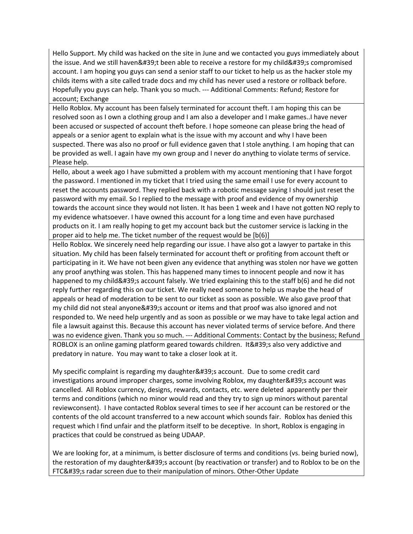Hello Support. My child was hacked on the site in June and we contacted you guys immediately about the issue. And we still haven't been able to receive a restore for my child's compromised account. I am hoping you guys can send a senior staff to our ticket to help us as the hacker stole my childs items with a site called trade docs and my child has never used a restore or rollback before. Hopefully you guys can help. Thank you so much. --- Additional Comments: Refund; Restore for account; Exchange

Hello Roblox. My account has been falsely terminated for account theft. I am hoping this can be resolved soon as I own a clothing group and I am also a developer and I make games..I have never been accused or suspected of account theft before. I hope someone can please bring the head of appeals or a senior agent to explain what is the issue with my account and why I have been suspected. There was also no proof or full evidence gaven that I stole anything. I am hoping that can be provided as well. I again have my own group and I never do anything to violate terms of service. Please help.

Hello, about a week ago I have submitted a problem with my account mentioning that I have forgot the password. I mentioned in my ticket that I tried using the same email I use for every account to reset the accounts password. They replied back with a robotic message saying I should just reset the password with my email. So I replied to the message with proof and evidence of my ownership towards the account since they would not listen. It has been 1 week and I have not gotten NO reply to my evidence whatsoever. I have owned this account for a long time and even have purchased products on it. I am really hoping to get my account back but the customer service is lacking in the proper aid to help me. The ticket number of the request would be [b(6)]

Hello Roblox. We sincerely need help regarding our issue. I have also got a lawyer to partake in this situation. My child has been falsely terminated for account theft or profiting from account theft or participating in it. We have not been given any evidence that anything was stolen nor have we gotten any proof anything was stolen. This has happened many times to innocent people and now it has happened to my child's account falsely. We tried explaining this to the staff b(6) and he did not reply further regarding this on our ticket. We really need someone to help us maybe the head of appeals or head of moderation to be sent to our ticket as soon as possible. We also gave proof that my child did not steal anyone 's account or items and that proof was also ignored and not responded to. We need help urgently and as soon as possible or we may have to take legal action and file a lawsuit against this. Because this account has never violated terms of service before. And there was no evidence given. Thank you so much. --- Additional Comments: Contact by the business; Refund ROBLOX is an online gaming platform geared towards children. It's also very addictive and predatory in nature. You may want to take a closer look at it.

My specific complaint is regarding my daughter ' saccount. Due to some credit card investigations around improper charges, some involving Roblox, my daughter's account was cancelled. All Roblox currency, designs, rewards, contacts, etc. were deleted apparently per their terms and conditions (which no minor would read and they try to sign up minors without parental reviewconsent). I have contacted Roblox several times to see if her account can be restored or the contents of the old account transferred to a new account which sounds fair. Roblox has denied this request which I find unfair and the platform itself to be deceptive. In short, Roblox is engaging in practices that could be construed as being UDAAP.

We are looking for, at a minimum, is better disclosure of terms and conditions (vs. being buried now), the restoration of my daughter's account (by reactivation or transfer) and to Roblox to be on the FTC's radar screen due to their manipulation of minors. Other-Other Update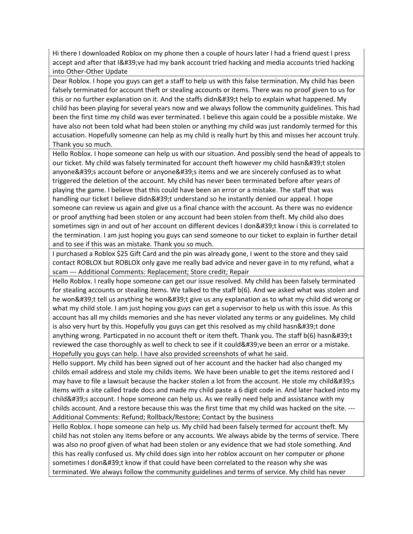Hi there I downloaded Roblox on my phone then a couple of hours later I had a friend quest I press accept and after that I've had my bank account tried hacking and media accounts tried hacking into Other-Other Update

Dear Roblox. I hope you guys can get a staff to help us with this false termination. My child has been falsely terminated for account theft or stealing accounts or items. There was no proof given to us for this or no further explanation on it. And the staffs didn't help to explain what happened. My child has been playing for several years now and we always follow the community guidelines. This had been the first time my child was ever terminated. I believe this again could be a possible mistake. We have also not been told what had been stolen or anything my child was just randomly termed for this accusation. Hopefully someone can help as my child is really hurt by this and misses her account truly. Thank you so much.

Hello Roblox. I hope someone can help us with our situation. And possibly send the head of appeals to our ticket. My child was falsely terminated for account theft however my child hasn't stolen anyone's account before or anyone's items and we are sincerely confused as to what triggered the deletion of the account. My child has never been terminated before after years of playing the game. I believe that this could have been an error or a mistake. The staff that was handling our ticket I believe didn't understand so he instantly denied our appeal. I hope someone can review us again and give us a final chance with the account. As there was no evidence or proof anything had been stolen or any account had been stolen from theft. My child also does sometimes sign in and out of her account on different devices I don't know i this is correlated to the termination. I am just hoping you guys can send someone to our ticket to explain in further detail and to see if this was an mistake. Thank you so much.

I purchased a Roblox \$25 Gift Card and the pin was already gone, I went to the store and they said contact ROBLOX but ROBLOX only gave me really bad advice and never gave in to my refund, what a scam --- Additional Comments: Replacement; Store credit; Repair

Hello Roblox. I really hope someone can get our issue resolved. My child has been falsely terminated for stealing accounts or stealing items. We talked to the staff b(6). And we asked what was stolen and he won't tell us anything he won't give us any explanation as to what my child did wrong or what my child stole. I am just hoping you guys can get a supervisor to help us with this issue. As this account has all my childs memories and she has never violated any terms or any guidelines. My child is also very hurt by this. Hopefully you guys can get this resolved as my child hasn't done anything wrong. Particpated in no account theft or item theft. Thank you. The staff b(6) hasn't reviewed the case thoroughly as well to check to see if it could' ve been an error or a mistake. Hopefully you guys can help. I have also provided screenshots of what he said.

Hello support. My child has been signed out of her account and the hacker had also changed my childs email address and stole my childs items. We have been unable to get the items restored and I may have to file a lawsuit because the hacker stolen a lot from the account. He stole my child's items with a site called trade docs and made my child paste a 6 digit code in. And later hacked into my child's account. I hope someone can help us. As we really need help and assistance with my childs account. And a restore because this was the first time that my child was hacked on the site. --- Additional Comments: Refund; Rollback/Restore; Contact by the business

Hello Roblox. I hope someone can help us. My child had been falsely termed for account theft. My child has not stolen any items before or any accounts. We always abide by the terms of service. There was also no proof given of what had been stolen or any evidence that we had stole something. And this has really confused us. My child does sign into her roblox account on her computer or phone sometimes I don't know if that could have been correlated to the reason why she was terminated. We always follow the community guidelines and terms of service. My child has never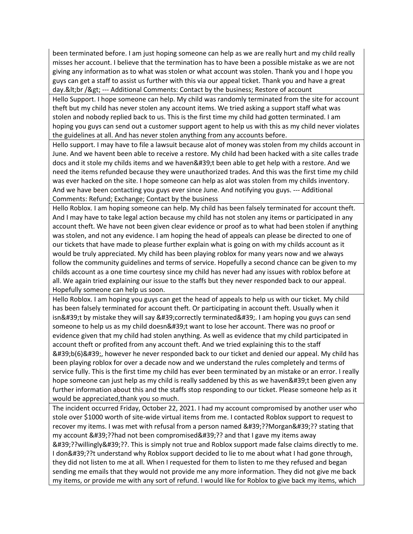been terminated before. I am just hoping someone can help as we are really hurt and my child really misses her account. I believe that the termination has to have been a possible mistake as we are not giving any information as to what was stolen or what account was stolen. Thank you and I hope you guys can get a staff to assist us further with this via our appeal ticket. Thank you and have a great day.&It;br /> --- Additional Comments: Contact by the business; Restore of account

Hello Support. I hope someone can help. My child was randomly terminated from the site for account theft but my child has never stolen any account items. We tried asking a support staff what was stolen and nobody replied back to us. This is the first time my child had gotten terminated. I am hoping you guys can send out a customer support agent to help us with this as my child never violates the guidelines at all. And has never stolen anything from any accounts before.

Hello support. I may have to file a lawsuit because alot of money was stolen from my childs account in June. And we havent been able to receive a restore. My child had been hacked with a site calles trade docs and it stole my childs items and we haven't been able to get help with a restore. And we need the items refunded because they were unauthorized trades. And this was the first time my child was ever hacked on the site. I hope someone can help as alot was stolen from my childs inventory. And we have been contacting you guys ever since June. And notifying you guys. --- Additional Comments: Refund; Exchange; Contact by the business

Hello Roblox. I am hoping someone can help. My child has been falsely terminated for account theft. And I may have to take legal action because my child has not stolen any items or participated in any account theft. We have not been given clear evidence or proof as to what had been stolen if anything was stolen, and not any evidence. I am hoping the head of appeals can please be directed to one of our tickets that have made to please further explain what is going on with my childs account as it would be truly appreciated. My child has been playing roblox for many years now and we always follow the community guidelines and terms of service. Hopefully a second chance can be given to my childs account as a one time courtesy since my child has never had any issues with roblox before at all. We again tried explaining our issue to the staffs but they never responded back to our appeal. Hopefully someone can help us soon.

Hello Roblox. I am hoping you guys can get the head of appeals to help us with our ticket. My child has been falsely terminated for account theft. Or participating in account theft. Usually when it isn't by mistake they will say 'correctly terminated'. I am hoping you guys can send someone to help us as my child doesn't want to lose her account. There was no proof or evidence given that my child had stolen anything. As well as evidence that my child participated in account theft or profited from any account theft. And we tried explaining this to the staff  $'b(6)\'$ , however he never responded back to our ticket and denied our appeal. My child has been playing roblox for over a decade now and we understand the rules completely and terms of service fully. This is the first time my child has ever been terminated by an mistake or an error. I really hope someone can just help as my child is really saddened by this as we haven't been given any further information about this and the staffs stop responding to our ticket. Please someone help as it would be appreciated,thank you so much.

The incident occurred Friday, October 22, 2021. I had my account compromised by another user who stole over \$1000 worth of site-wide virtual items from me. I contacted Roblox support to request to recover my items. I was met with refusal from a person named '??Morgan'?? stating that my account '??had not been compromised'?? and that I gave my items away '??willingly'??. This is simply not true and Roblox support made false claims directly to me. I don'??t understand why Roblox support decided to lie to me about what I had gone through, they did not listen to me at all. When I requested for them to listen to me they refused and began sending me emails that they would not provide me any more information. They did not give me back my items, or provide me with any sort of refund. I would like for Roblox to give back my items, which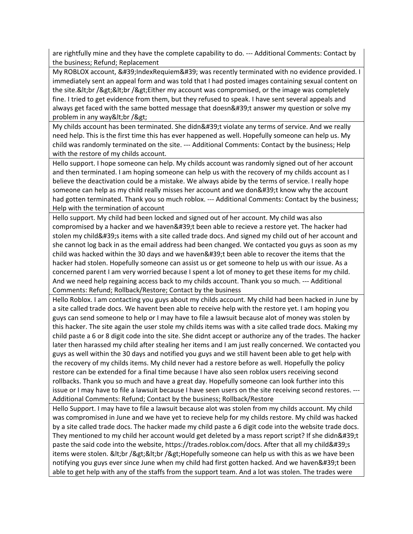are rightfully mine and they have the complete capability to do. --- Additional Comments: Contact by the business; Refund; Replacement

My ROBLOX account, ' IndexRequiem' was recently terminated with no evidence provided. I immediately sent an appeal form and was told that I had posted images containing sexual content on the site.&It;br />&It;br />Either my account was compromised, or the image was completely fine. I tried to get evidence from them, but they refused to speak. I have sent several appeals and always get faced with the same botted message that doesn't answer my question or solve my problem in any way<br /&gt;

My childs account has been terminated. She didn't violate any terms of service. And we really need help. This is the first time this has ever happened as well. Hopefully someone can help us. My child was randomly terminated on the site. --- Additional Comments: Contact by the business; Help with the restore of my childs account.

Hello support. I hope someone can help. My childs account was randomly signed out of her account and then terminated. I am hoping someone can help us with the recovery of my childs account as I believe the deactivation could be a mistake. We always abide by the terms of service. I really hope someone can help as my child really misses her account and we don't know why the account had gotten terminated. Thank you so much roblox. --- Additional Comments: Contact by the business; Help with the termination of account

Hello support. My child had been locked and signed out of her account. My child was also compromised by a hacker and we haven't been able to recieve a restore yet. The hacker had stolen my child's items with a site called trade docs. And signed my child out of her account and she cannot log back in as the email address had been changed. We contacted you guys as soon as my child was hacked within the 30 days and we haven  $\&$  #39; the able to recover the items that the hacker had stolen. Hopefully someone can assist us or get someone to help us with our issue. As a concerned parent I am very worried because I spent a lot of money to get these items for my child. And we need help regaining access back to my childs account. Thank you so much. --- Additional Comments: Refund; Rollback/Restore; Contact by the business

Hello Roblox. I am contacting you guys about my childs account. My child had been hacked in June by a site called trade docs. We havent been able to receive help with the restore yet. I am hoping you guys can send someone to help or I may have to file a lawsuit because alot of money was stolen by this hacker. The site again the user stole my childs items was with a site called trade docs. Making my child paste a 6 or 8 digit code into the site. She didnt accept or authorize any of the trades. The hacker later then harassed my child after stealing her items and I am just really concerned. We contacted you guys as well within the 30 days and notified you guys and we still havent been able to get help with the recovery of my childs items. My child never had a restore before as well. Hopefully the policy restore can be extended for a final time because I have also seen roblox users receiving second rollbacks. Thank you so much and have a great day. Hopefully someone can look further into this issue or I may have to file a lawsuit because I have seen users on the site receiving second restores. --- Additional Comments: Refund; Contact by the business; Rollback/Restore

Hello Support. I may have to file a lawsuit because alot was stolen from my childs account. My child was compromised in June and we have yet to recieve help for my childs restore. My child was hacked by a site called trade docs. The hacker made my child paste a 6 digit code into the website trade docs. They mentioned to my child her account would get deleted by a mass report script? If she didn't paste the said code into the website, https://trades.roblox.com/docs. After that all my child's items were stolen. & It; br / & gt; & It; br / & gt; Hopefully someone can help us with this as we have been notifying you guys ever since June when my child had first gotten hacked. And we haven't been able to get help with any of the staffs from the support team. And a lot was stolen. The trades were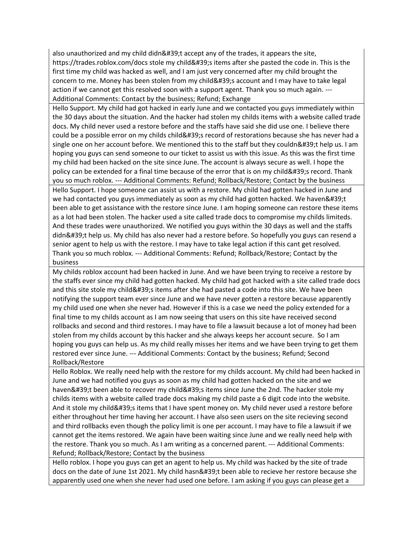also unauthorized and my child didn $&439$ ;t accept any of the trades, it appears the site, https://trades.roblox.com/docs stole my child's items after she pasted the code in. This is the first time my child was hacked as well, and I am just very concerned after my child brought the concern to me. Money has been stolen from my child's account and I may have to take legal action if we cannot get this resolved soon with a support agent. Thank you so much again. --- Additional Comments: Contact by the business; Refund; Exchange

Hello Support. My child had got hacked in early June and we contacted you guys immediately within the 30 days about the situation. And the hacker had stolen my childs items with a website called trade docs. My child never used a restore before and the staffs have said she did use one. I believe there could be a possible error on my childs child' record of restorations because she has never had a single one on her account before. We mentioned this to the staff but they couldn't help us. I am hoping you guys can send someone to our ticket to assist us with this issue. As this was the first time my child had been hacked on the site since June. The account is always secure as well. I hope the policy can be extended for a final time because of the error that is on my child's record. Thank you so much roblox. --- Additional Comments: Refund; Rollback/Restore; Contact by the business Hello Support. I hope someone can assist us with a restore. My child had gotten hacked in June and we had contacted you guys immediately as soon as my child had gotten hacked. We haven't been able to get assistance with the restore since June. I am hoping someone can restore these items as a lot had been stolen. The hacker used a site called trade docs to compromise my childs limiteds. And these trades were unauthorized. We notified you guys within the 30 days as well and the staffs didn't help us. My child has also never had a restore before. So hopefully you guys can resend a senior agent to help us with the restore. I may have to take legal action if this cant get resolved. Thank you so much roblox. --- Additional Comments: Refund; Rollback/Restore; Contact by the business

My childs roblox account had been hacked in June. And we have been trying to receive a restore by the staffs ever since my child had gotten hacked. My child had got hacked with a site called trade docs and this site stole my child's items after she had pasted a code into this site. We have been notifying the support team ever since June and we have never gotten a restore because apparently my child used one when she never had. However if this is a case we need the policy extended for a final time to my childs account as I am now seeing that users on this site have received second rollbacks and second and third restores. I may have to file a lawsuit because a lot of money had been stolen from my childs account by this hacker and she always keeps her account secure. So I am hoping you guys can help us. As my child really misses her items and we have been trying to get them restored ever since June. --- Additional Comments: Contact by the business; Refund; Second Rollback/Restore

Hello Roblox. We really need help with the restore for my childs account. My child had been hacked in June and we had notified you guys as soon as my child had gotten hacked on the site and we haven't been able to recover my child's items since June the 2nd. The hacker stole my childs items with a website called trade docs making my child paste a 6 digit code into the website. And it stole my child's items that I have spent money on. My child never used a restore before either throughout her time having her account. I have also seen users on the site recieving second and third rollbacks even though the policy limit is one per account. I may have to file a lawsuit if we cannot get the items restored. We again have been waiting since June and we really need help with the restore. Thank you so much. As I am writing as a concerned parent. --- Additional Comments: Refund; Rollback/Restore; Contact by the business

Hello roblox. I hope you guys can get an agent to help us. My child was hacked by the site of trade docs on the date of June 1st 2021. My child hasn't been able to recieve her restore because she apparently used one when she never had used one before. I am asking if you guys can please get a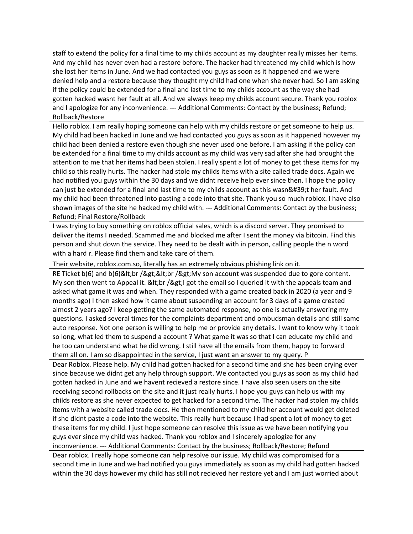staff to extend the policy for a final time to my childs account as my daughter really misses her items. And my child has never even had a restore before. The hacker had threatened my child which is how she lost her items in June. And we had contacted you guys as soon as it happened and we were denied help and a restore because they thought my child had one when she never had. So I am asking if the policy could be extended for a final and last time to my childs account as the way she had gotten hacked wasnt her fault at all. And we always keep my childs account secure. Thank you roblox and I apologize for any inconvenience. --- Additional Comments: Contact by the business; Refund; Rollback/Restore

Hello roblox. I am really hoping someone can help with my childs restore or get someone to help us. My child had been hacked in June and we had contacted you guys as soon as it happened however my child had been denied a restore even though she never used one before. I am asking if the policy can be extended for a final time to my childs account as my child was very sad after she had brought the attention to me that her items had been stolen. I really spent a lot of money to get these items for my child so this really hurts. The hacker had stole my childs items with a site called trade docs. Again we had notified you guys within the 30 days and we didnt receive help ever since then. I hope the policy can just be extended for a final and last time to my childs account as this wasn't her fault. And my child had been threatened into pasting a code into that site. Thank you so much roblox. I have also shown images of the site he hacked my child with. --- Additional Comments: Contact by the business; Refund; Final Restore/Rollback

I was trying to buy something on roblox official sales, which is a discord server. They promised to deliver the items I needed. Scammed me and blocked me after I sent the money via bitcoin. Find this person and shut down the service. They need to be dealt with in person, calling people the n word with a hard r. Please find them and take care of them.

Their website, roblox.com.so, literally has an extremely obvious phishing link on it.

RE Ticket  $b(6)$  and  $b(6)$ <br /&gt;&lt;br /&gt;My son account was suspended due to gore content. My son then went to Appeal it. & It; br / & gt; I got the email so I queried it with the appeals team and asked what game it was and when. They responded with a game created back in 2020 (a year and 9 months ago) I then asked how it came about suspending an account for 3 days of a game created almost 2 years ago? I keep getting the same automated response, no one is actually answering my questions. I asked several times for the complaints department and ombudsman details and still same auto response. Not one person is willing to help me or provide any details. I want to know why it took so long, what led them to suspend a account ? What game it was so that I can educate my child and he too can understand what he did wrong. I still have all the emails from them, happy to forward them all on. I am so disappointed in the service, I just want an answer to my query. P

Dear Roblox. Please help. My child had gotten hacked for a second time and she has been crying ever since because we didnt get any help through support. We contacted you guys as soon as my child had gotten hacked in June and we havent recieved a restore since. I have also seen users on the site receiving second rollbacks on the site and it just really hurts. I hope you guys can help us with my childs restore as she never expected to get hacked for a second time. The hacker had stolen my childs items with a website called trade docs. He then mentioned to my child her account would get deleted if she didnt paste a code into the website. This really hurt because I had spent a lot of money to get these items for my child. I just hope someone can resolve this issue as we have been notifying you guys ever since my child was hacked. Thank you roblox and I sincerely apologize for any inconvenience. --- Additional Comments: Contact by the business; Rollback/Restore; Refund Dear roblox. I really hope someone can help resolve our issue. My child was compromised for a second time in June and we had notified you guys immediately as soon as my child had gotten hacked

within the 30 days however my child has still not recieved her restore yet and I am just worried about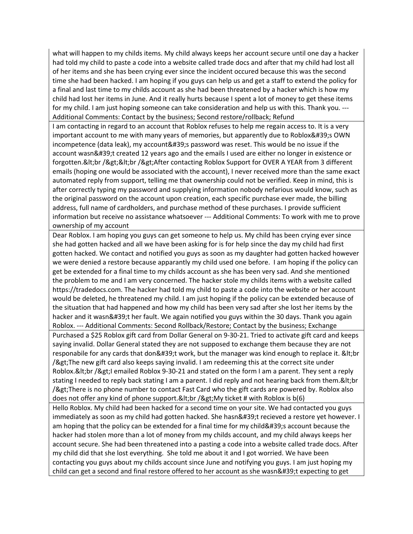what will happen to my childs items. My child always keeps her account secure until one day a hacker had told my child to paste a code into a website called trade docs and after that my child had lost all of her items and she has been crying ever since the incident occured because this was the second time she had been hacked. I am hoping if you guys can help us and get a staff to extend the policy for a final and last time to my childs account as she had been threatened by a hacker which is how my child had lost her items in June. And it really hurts because I spent a lot of money to get these items for my child. I am just hoping someone can take consideration and help us with this. Thank you. --- Additional Comments: Contact by the business; Second restore/rollback; Refund

I am contacting in regard to an account that Roblox refuses to help me regain access to. It is a very important account to me with many years of memories, but apparently due to Roblox's OWN incompetence (data leak), my account's password was reset. This would be no issue if the account wasn't created 12 years ago and the emails I used are either no longer in existence or forgotten.<br /&gt;&lt;br /&gt;After contacting Roblox Support for OVER A YEAR from 3 different emails (hoping one would be associated with the account), I never received more than the same exact automated reply from support, telling me that ownership could not be verified. Keep in mind, this is after correctly typing my password and supplying information nobody nefarious would know, such as the original password on the account upon creation, each specific purchase ever made, the billing address, full name of cardholders, and purchase method of these purchases. I provide sufficient information but receive no assistance whatsoever --- Additional Comments: To work with me to prove ownership of my account

Dear Roblox. I am hoping you guys can get someone to help us. My child has been crying ever since she had gotten hacked and all we have been asking for is for help since the day my child had first gotten hacked. We contact and notified you guys as soon as my daughter had gotten hacked however we were denied a restore because apparantly my child used one before. I am hoping if the policy can get be extended for a final time to my childs account as she has been very sad. And she mentioned the problem to me and I am very concerned. The hacker stole my childs items with a website called https://tradedocs.com. The hacker had told my child to paste a code into the website or her account would be deleted, he threatened my child. I am just hoping if the policy can be extended because of the situation that had happened and how my child has been very sad after she lost her items by the hacker and it wasn't her fault. We again notified you guys within the 30 days. Thank you again Roblox. --- Additional Comments: Second Rollback/Restore; Contact by the business; Exchange Purchased a \$25 Roblox gift card from Dollar General on 9-30-21. Tried to activate gift card and keeps saying invalid. Dollar General stated they are not supposed to exchange them because they are not responabile for any cards that don't work, but the manager was kind enough to replace it. & lt; br /> The new gift card also keeps saying invalid. I am redeeming this at the correct site under Roblox.&It;br />I emailed Roblox 9-30-21 and stated on the form I am a parent. They sent a reply stating I needed to reply back stating I am a parent. I did reply and not hearing back from them.&It; br /> There is no phone number to contact Fast Card who the gift cards are powered by. Roblox also does not offer any kind of phone support.&It;br />My ticket # with Roblox is  $b(6)$ 

Hello Roblox. My child had been hacked for a second time on your site. We had contacted you guys immediately as soon as my child had gotten hacked. She hasn't recieved a restore yet however. I am hoping that the policy can be extended for a final time for my child's account because the hacker had stolen more than a lot of money from my childs account, and my child always keeps her account secure. She had been threatened into a pasting a code into a website called trade docs. After my child did that she lost everything. She told me about it and I got worried. We have been contacting you guys about my childs account since June and notifying you guys. I am just hoping my child can get a second and final restore offered to her account as she wasn't expecting to get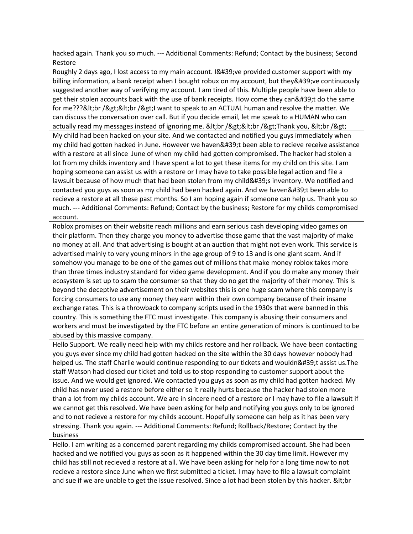hacked again. Thank you so much. --- Additional Comments: Refund; Contact by the business; Second Restore

Roughly 2 days ago, I lost access to my main account. I' ve provided customer support with my billing information, a bank receipt when I bought robux on my account, but they've continuously suggested another way of verifying my account. I am tired of this. Multiple people have been able to get their stolen accounts back with the use of bank receipts. How come they can't do the same for me???<br /&gt;&lt;br /&gt;l want to speak to an ACTUAL human and resolve the matter. We can discuss the conversation over call. But if you decide email, let me speak to a HUMAN who can actually read my messages instead of ignoring me. <br /&gt;&lt;br /&gt;Thank you, &lt;br /&gt; My child had been hacked on your site. And we contacted and notified you guys immediately when my child had gotten hacked in June. However we haven't been able to recieve receive assistance with a restore at all since June of when my child had gotten compromised. The hacker had stolen a lot from my childs inventory and I have spent a lot to get these items for my child on this site. I am hoping someone can assist us with a restore or I may have to take possible legal action and file a lawsuit because of how much that had been stolen from my child's inventory. We notified and contacted you guys as soon as my child had been hacked again. And we haven't been able to recieve a restore at all these past months. So I am hoping again if someone can help us. Thank you so much. --- Additional Comments: Refund; Contact by the business; Restore for my childs compromised account.

Roblox promises on their website reach millions and earn serious cash developing video games on their platform. Then they charge you money to advertise those game that the vast majority of make no money at all. And that advertising is bought at an auction that might not even work. This service is advertised mainly to very young minors in the age group of 9 to 13 and is one giant scam. And if somehow you manage to be one of the games out of millions that make money roblox takes more than three times industry standard for video game development. And if you do make any money their ecosystem is set up to scam the consumer so that they do no get the majority of their money. This is beyond the deceptive advertisement on their websites this is one huge scam where this company is forcing consumers to use any money they earn within their own company because of their insane exchange rates. This is a throwback to company scripts used in the 1930s that were banned in this country. This is something the FTC must investigate. This company is abusing their consumers and workers and must be investigated by the FTC before an entire generation of minors is continued to be abused by this massive company.

Hello Support. We really need help with my childs restore and her rollback. We have been contacting you guys ever since my child had gotten hacked on the site within the 30 days however nobody had helped us. The staff Charlie would continue responding to our tickets and wouldn't assist us.The staff Watson had closed our ticket and told us to stop responding to customer support about the issue. And we would get ignored. We contacted you guys as soon as my child had gotten hacked. My child has never used a restore before either so it really hurts because the hacker had stolen more than a lot from my childs account. We are in sincere need of a restore or I may have to file a lawsuit if we cannot get this resolved. We have been asking for help and notifying you guys only to be ignored and to not recieve a restore for my childs account. Hopefully someone can help as it has been very stressing. Thank you again. --- Additional Comments: Refund; Rollback/Restore; Contact by the business

Hello. I am writing as a concerned parent regarding my childs compromised account. She had been hacked and we notified you guys as soon as it happened within the 30 day time limit. However my child has still not recieved a restore at all. We have been asking for help for a long time now to not recieve a restore since June when we first submitted a ticket. I may have to file a lawsuit complaint and sue if we are unable to get the issue resolved. Since a lot had been stolen by this hacker. & It; br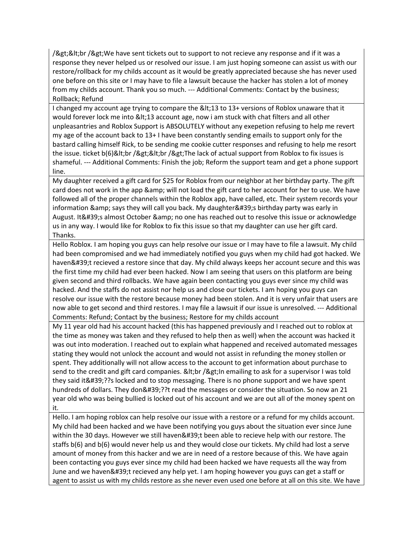/><br /&gt;We have sent tickets out to support to not recieve any response and if it was a response they never helped us or resolved our issue. I am just hoping someone can assist us with our restore/rollback for my childs account as it would be greatly appreciated because she has never used one before on this site or I may have to file a lawsuit because the hacker has stolen a lot of money from my childs account. Thank you so much. --- Additional Comments: Contact by the business; Rollback; Refund

I changed my account age trying to compare the <13 to 13+ versions of Roblox unaware that it would forever lock me into <13 account age, now i am stuck with chat filters and all other unpleasantries and Roblox Support is ABSOLUTELY without any exepetion refusing to help me revert my age of the account back to 13+ I have been constantly sending emails to support only for the bastard calling himself Rick, to be sending me cookie cutter responses and refusing to help me resort the issue. ticket b(6)<br /&gt;&lt;br /&gt;The lack of actual support from Roblox to fix issues is shameful. --- Additional Comments: Finish the job; Reform the support team and get a phone support line.

My daughter received a gift card for \$25 for Roblox from our neighbor at her birthday party. The gift card does not work in the app & amp; will not load the gift card to her account for her to use. We have followed all of the proper channels within the Roblox app, have called, etc. Their system records your information & amp; says they will call you back. My daughter's birthday party was early in August. It's almost October & amp; no one has reached out to resolve this issue or acknowledge us in any way. I would like for Roblox to fix this issue so that my daughter can use her gift card. Thanks.

Hello Roblox. I am hoping you guys can help resolve our issue or I may have to file a lawsuit. My child had been compromised and we had immediately notified you guys when my child had got hacked. We haven't recieved a restore since that day. My child always keeps her account secure and this was the first time my child had ever been hacked. Now I am seeing that users on this platform are being given second and third rollbacks. We have again been contacting you guys ever since my child was hacked. And the staffs do not assist nor help us and close our tickets. I am hoping you guys can resolve our issue with the restore because money had been stolen. And it is very unfair that users are now able to get second and third restores. I may file a lawsuit if our issue is unresolved. --- Additional Comments: Refund; Contact by the business; Restore for my childs account

My 11 year old had his account hacked (this has happened previously and I reached out to roblox at the time as money was taken and they refused to help then as well) when the account was hacked it was out into moderation. I reached out to explain what happened and received automated messages stating they would not unlock the account and would not assist in refunding the money stollen or spent. They additionally will not allow access to the account to get information about purchase to send to the credit and gift card companies. & lt; br / & gt; In emailing to ask for a supervisor I was told they said it'??s locked and to stop messaging. There is no phone support and we have spent hundreds of dollars. They don'??t read the messages or consider the situation. So now an 21 year old who was being bullied is locked out of his account and we are out all of the money spent on it.

Hello. I am hoping roblox can help resolve our issue with a restore or a refund for my childs account. My child had been hacked and we have been notifying you guys about the situation ever since June within the 30 days. However we still haven & #39; t been able to recieve help with our restore. The staffs b(6) and b(6) would never help us and they would close our tickets. My child had lost a serve amount of money from this hacker and we are in need of a restore because of this. We have again been contacting you guys ever since my child had been hacked we have requests all the way from June and we haven't recieved any help yet. I am hoping however you guys can get a staff or agent to assist us with my childs restore as she never even used one before at all on this site. We have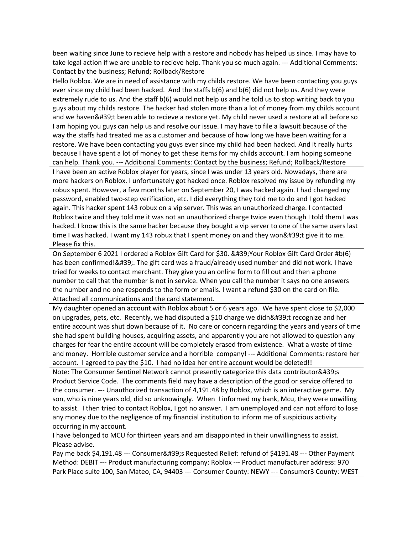been waiting since June to recieve help with a restore and nobody has helped us since. I may have to take legal action if we are unable to recieve help. Thank you so much again. --- Additional Comments: Contact by the business; Refund; Rollback/Restore

Hello Roblox. We are in need of assistance with my childs restore. We have been contacting you guys ever since my child had been hacked. And the staffs b(6) and b(6) did not help us. And they were extremely rude to us. And the staff b(6) would not help us and he told us to stop writing back to you guys about my childs restore. The hacker had stolen more than a lot of money from my childs account and we haven't been able to recieve a restore yet. My child never used a restore at all before so I am hoping you guys can help us and resolve our issue. I may have to file a lawsuit because of the way the staffs had treated me as a customer and because of how long we have been waiting for a restore. We have been contacting you guys ever since my child had been hacked. And it really hurts because I have spent a lot of money to get these items for my childs account. I am hoping someone can help. Thank you. --- Additional Comments: Contact by the business; Refund; Rollback/Restore I have been an active Roblox player for years, since I was under 13 years old. Nowadays, there are more hackers on Roblox. I unfortunately got hacked once. Roblox resolved my issue by refunding my robux spent. However, a few months later on September 20, I was hacked again. I had changed my password, enabled two-step verification, etc. I did everything they told me to do and I got hacked again. This hacker spent 143 robux on a vip server. This was an unauthorized charge. I contacted Roblox twice and they told me it was not an unauthorized charge twice even though I told them I was hacked. I know this is the same hacker because they bought a vip server to one of the same users last time I was hacked. I want my 143 robux that I spent money on and they won't give it to me. Please fix this.

On September 6 2021 I ordered a Roblox Gift Card for \$30. ' Your Roblox Gift Card Order #b(6) has been confirmed!'. The gift card was a fraud/already used number and did not work. I have tried for weeks to contact merchant. They give you an online form to fill out and then a phone number to call that the number is not in service. When you call the number it says no one answers the number and no one responds to the form or emails. I want a refund \$30 on the card on file. Attached all communications and the card statement.

My daughter opened an account with Roblox about 5 or 6 years ago. We have spent close to \$2,000 on upgrades, pets, etc. Recently, we had disputed a \$10 charge we didn't recognize and her entire account was shut down because of it. No care or concern regarding the years and years of time she had spent building houses, acquiring assets, and apparently you are not allowed to question any charges for fear the entire account will be completely erased from existence. What a waste of time and money. Horrible customer service and a horrible company! --- Additional Comments: restore her account. I agreed to pay the \$10. I had no idea her entire account would be deleted!!

Note: The Consumer Sentinel Network cannot presently categorize this data contributor's Product Service Code. The comments field may have a description of the good or service offered to the consumer. --- Unauthorized transaction of 4,191.48 by Roblox, which is an interactive game. My son, who is nine years old, did so unknowingly. When I informed my bank, Mcu, they were unwilling to assist. I then tried to contact Roblox, I got no answer. I am unemployed and can not afford to lose any money due to the negligence of my financial institution to inform me of suspicious activity occurring in my account.

I have belonged to MCU for thirteen years and am disappointed in their unwillingness to assist. Please advise.

Pay me back \$4,191.48 --- Consumer's Requested Relief: refund of \$4191.48 --- Other Payment Method: DEBIT --- Product manufacturing company: Roblox --- Product manufacturer address: 970 Park Place suite 100, San Mateo, CA, 94403 --- Consumer County: NEWY --- Consumer3 County: WEST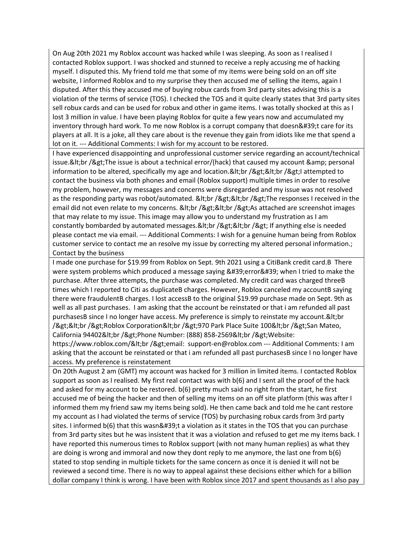On Aug 20th 2021 my Roblox account was hacked while I was sleeping. As soon as I realised I contacted Roblox support. I was shocked and stunned to receive a reply accusing me of hacking myself. I disputed this. My friend told me that some of my items were being sold on an off site website, I informed Roblox and to my surprise they then accused me of selling the items, again I disputed. After this they accused me of buying robux cards from 3rd party sites advising this is a violation of the terms of service (TOS). I checked the TOS and it quite clearly states that 3rd party sites sell robux cards and can be used for robux and other in game items. I was totally shocked at this as I lost 3 million in value. I have been playing Roblox for quite a few years now and accumulated my inventory through hard work. To me now Roblox is a corrupt company that doesn't care for its players at all. It is a joke, all they care about is the revenue they gain from idiots like me that spend a lot on it. --- Additional Comments: I wish for my account to be restored.

I have experienced disappointing and unprofessional customer service regarding an account/technical issue.&It;br />The issue is about a technical error/(hack) that caused my account & amp; personal information to be altered, specifically my age and location.&It;br />&It;br />I attempted to contact the business via both phones and email (Roblox support) multiple times in order to resolve my problem, however, my messages and concerns were disregarded and my issue was not resolved as the responding party was robot/automated. & lt; br / & gt; & lt; br / & gt; The responses I received in the email did not even relate to my concerns. & lt; br / & gt; & lt; br / & gt; As attached are screenshot images that may relate to my issue. This image may allow you to understand my frustration as I am constantly bombarded by automated messages.<br /&gt;&lt;br /&gt; If anything else is needed please contact me via email. --- Additional Comments: I wish for a genuine human being from Roblox customer service to contact me an resolve my issue by correcting my altered personal information.; Contact by the business

I made one purchase for \$19.99 from Roblox on Sept. 9th 2021 using a CitiBank credit card.B There were system problems which produced a message saying 'error' when I tried to make the purchase. After three attempts, the purchase was completed. My credit card was charged threeB times which I reported to Citi as duplicateB charges. However, Roblox canceled my accountB saying there were fraudulentB charges. I lost accessB to the original \$19.99 purchase made on Sept. 9th as well as all past purchases. I am asking that the account be reinstated or that i am refunded all past purchasesB since I no longer have access. My preference is simply to reinstate my account.&It; br /><br /&gt;Roblox Corporation&lt;br /&gt;970 Park Place Suite 100&lt;br /&gt;San Mateo, California 94402<br /&gt;Phone Number: (888) 858-2569&lt;br /&gt;Website:

https://www.roblox.com/<br /&gt;email: support-en@roblox.com --- Additional Comments: I am asking that the account be reinstated or that i am refunded all past purchasesB since I no longer have access. My preference is reinstatement

On 20th August 2 am (GMT) my account was hacked for 3 million in limited items. I contacted Roblox support as soon as I realised. My first real contact was with b(6) and I sent all the proof of the hack and asked for my account to be restored. b(6) pretty much said no right from the start, he first accused me of being the hacker and then of selling my items on an off site platform (this was after I informed them my friend saw my items being sold). He then came back and told me he cant restore my account as I had violated the terms of service (TOS) by purchasing robux cards from 3rd party sites. I informed b(6) that this wasn't a violation as it states in the TOS that you can purchase from 3rd party sites but he was insistent that it was a violation and refused to get me my items back. I have reported this numerous times to Roblox support (with not many human replies) as what they are doing is wrong and immoral and now they dont reply to me anymore, the last one from b(6) stated to stop sending in multiple tickets for the same concern as once it is denied it will not be reviewed a second time. There is no way to appeal against these decisions either which for a billion dollar company I think is wrong. I have been with Roblox since 2017 and spent thousands as I also pay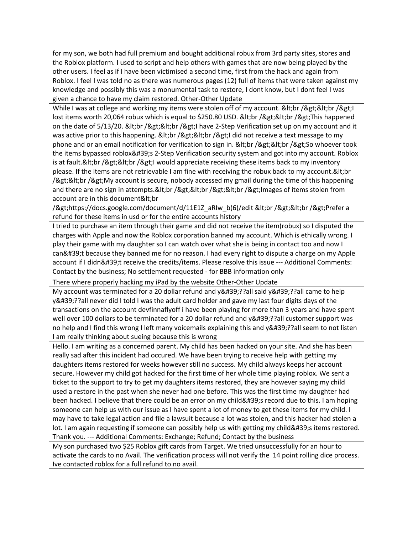for my son, we both had full premium and bought additional robux from 3rd party sites, stores and the Roblox platform. I used to script and help others with games that are now being played by the other users. I feel as if I have been victimised a second time, first from the hack and again from Roblox. I feel I was told no as there was numerous pages (12) full of items that were taken against my knowledge and possibly this was a monumental task to restore, I dont know, but I dont feel I was given a chance to have my claim restored. Other-Other Update

While I was at college and working my items were stolen off of my account. <br /&gt;&lt;br /&gt;I lost items worth 20,064 robux which is equal to \$250.80 USD. & It; br / & gt; & It; br / & gt; This happened on the date of 5/13/20. & It; br / & gt; & It; br / & gt; I have 2-Step Verification set up on my account and it was active prior to this happening. & It; br /> & It; br /> I did not receive a text message to my phone and or an email notification for verification to sign in. <br /&gt;&lt;br /&gt;So whoever took the items bypassed roblox's 2-Step Verification security system and got into my account. Roblox is at fault.&It;br />&It;br />I would appreciate receiving these items back to my inventory please. If the items are not retrievable I am fine with receiving the robux back to my account. & It; br /><br /&gt;My account is secure, nobody accessed my gmail during the time of this happening and there are no sign in attempts.&It;br />&It;br />&It;br />Images of items stolen from account are in this document<br

/>https://docs.google.com/document/d/11E1Z\_aRIw\_b(6)/edit <br /&gt;&lt;br /&gt;Prefer a refund for these items in usd or for the entire accounts history

I tried to purchase an item through their game and did not receive the item(robux) so I disputed the charges with Apple and now the Roblox corporation banned my account. Which is ethically wrong. I play their game with my daughter so I can watch over what she is being in contact too and now I can't because they banned me for no reason. I had every right to dispute a charge on my Apple account if I didn't receive the credits/items. Please resolve this issue --- Additional Comments: Contact by the business; No settlement requested - for BBB information only

There where properly hacking my iPad by the website Other-Other Update

My account was terminated for a 20 dollar refund and  $y'$ ??all said  $y'$ ??all came to help y'??all never did I told I was the adult card holder and gave my last four digits days of the transactions on the account devfinnaflyoff i have been playing for more than 3 years and have spent well over 100 dollars to be terminated for a 20 dollar refund and y'??all customer support was no help and I find this wrong I left many voicemails explaining this and y'??all seem to not listen I am really thinking about sueing because this is wrong

Hello. I am writing as a concerned parent. My child has been hacked on your site. And she has been really sad after this incident had occured. We have been trying to receive help with getting my daughters items restored for weeks however still no success. My child always keeps her account secure. However my child got hacked for the first time of her whole time playing roblox. We sent a ticket to the support to try to get my daughters items restored, they are however saying my child used a restore in the past when she never had one before. This was the first time my daughter had been hacked. I believe that there could be an error on my child's record due to this. I am hoping someone can help us with our issue as I have spent a lot of money to get these items for my child. I may have to take legal action and file a lawsuit because a lot was stolen, and this hacker had stolen a lot. I am again requesting if someone can possibly help us with getting my child's items restored. Thank you. --- Additional Comments: Exchange; Refund; Contact by the business

My son purchased two \$25 Roblox gift cards from Target. We tried unsuccessfully for an hour to activate the cards to no Avail. The verification process will not verify the 14 point rolling dice process. Ive contacted roblox for a full refund to no avail.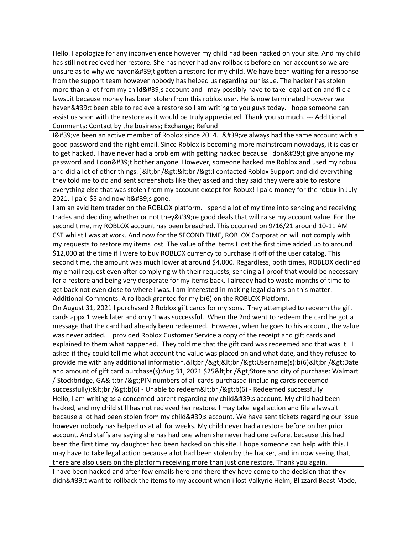Hello. I apologize for any inconvenience however my child had been hacked on your site. And my child has still not recieved her restore. She has never had any rollbacks before on her account so we are unsure as to why we haven't gotten a restore for my child. We have been waiting for a response from the support team however nobody has helped us regarding our issue. The hacker has stolen more than a lot from my child's account and I may possibly have to take legal action and file a lawsuit because money has been stolen from this roblox user. He is now terminated however we haven't been able to recieve a restore so I am writing to you guys today. I hope someone can assist us soon with the restore as it would be truly appreciated. Thank you so much. --- Additional Comments: Contact by the business; Exchange; Refund

I've been an active member of Roblox since 2014. I've always had the same account with a good password and the right email. Since Roblox is becoming more mainstream nowadays, it is easier to get hacked. I have never had a problem with getting hacked because I don't give anyone my password and I don't bother anyone. However, someone hacked me Roblox and used my robux and did a lot of other things. ]<br /&gt;&lt;br /&gt;I contacted Roblox Support and did everything they told me to do and sent screenshots like they asked and they said they were able to restore everything else that was stolen from my account except for Robux! I paid money for the robux in July  $2021.$  I paid \$5 and now it ' s gone.

I am an avid item trader on the ROBLOX platform. I spend a lot of my time into sending and receiving trades and deciding whether or not they ' re good deals that will raise my account value. For the second time, my ROBLOX account has been breached. This occurred on 9/16/21 around 10-11 AM CST whilst I was at work. And now for the SECOND TIME, ROBLOX Corporation will not comply with my requests to restore my items lost. The value of the items I lost the first time added up to around \$12,000 at the time if I were to buy ROBLOX currency to purchase it off of the user catalog. This second time, the amount was much lower at around \$4,000. Regardless, both times, ROBLOX declined my email request even after complying with their requests, sending all proof that would be necessary for a restore and being very desperate for my items back. I already had to waste months of time to get back not even close to where I was. I am interested in making legal claims on this matter. --- Additional Comments: A rollback granted for my b(6) on the ROBLOX Platform.

On August 31, 2021 I purchased 2 Roblox gift cards for my sons. They attempted to redeem the gift cards appx 1 week later and only 1 was successful. When the 2nd went to redeem the card he got a message that the card had already been redeemed. However, when he goes to his account, the value was never added. I provided Roblox Customer Service a copy of the receipt and gift cards and explained to them what happened. They told me that the gift card was redeemed and that was it. I asked if they could tell me what account the value was placed on and what date, and they refused to provide me with any additional information.<br /&gt;&lt;br /&gt;Username(s):b(6)&lt;br /&gt;Date and amount of gift card purchase(s):Aug 31, 2021 \$25<br /&gt;Store and city of purchase: Walmart / Stockbridge, GA&It;br />PIN numbers of all cards purchased (including cards redeemed successfully):<br /&gt;b(6) - Unable to redeem&lt;br /&gt;b(6) - Redeemed successfully Hello, I am writing as a concerned parent regarding my child's account. My child had been hacked, and my child still has not recieved her restore. I may take legal action and file a lawsuit because a lot had been stolen from my child's account. We have sent tickets regarding our issue however nobody has helped us at all for weeks. My child never had a restore before on her prior account. And staffs are saying she has had one when she never had one before, because this had been the first time my daughter had been hacked on this site. I hope someone can help with this. I may have to take legal action because a lot had been stolen by the hacker, and im now seeing that, there are also users on the platform receiving more than just one restore. Thank you again. I have been hacked and after few emails here and there they have come to the decision that they didn't want to rollback the items to my account when i lost Valkyrie Helm, Blizzard Beast Mode,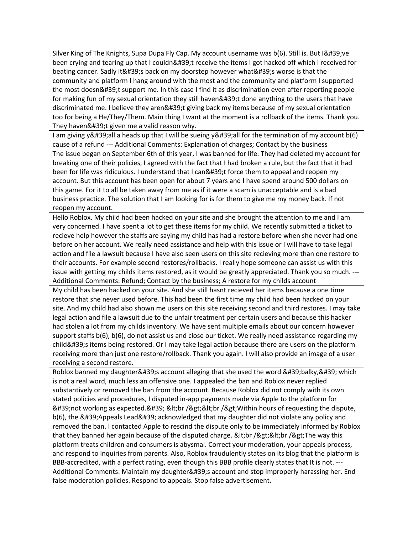Silver King of The Knights, Supa Dupa Fly Cap. My account username was b(6). Still is. But I've been crying and tearing up that I couldn't receive the items I got hacked off which i received for beating cancer. Sadly it's back on my doorstep however what's worse is that the community and platform I hang around with the most and the community and platform I supported the most doesn't support me. In this case I find it as discrimination even after reporting people for making fun of my sexual orientation they still haven't done anything to the users that have discriminated me. I believe they aren't giving back my items because of my sexual orientation too for being a He/They/Them. Main thing I want at the moment is a rollback of the items. Thank you. They haven't given me a valid reason why.

I am giving y'all a heads up that I will be sueing y'all for the termination of my account b(6) cause of a refund --- Additional Comments: Explanation of charges; Contact by the business

The issue began on September 6th of this year, I was banned for life. They had deleted my account for breaking one of their policies, I agreed with the fact that I had broken a rule, but the fact that it had been for life was ridiculous. I understand that I can't force them to appeal and reopen my account. But this account has been open for about 7 years and I have spend around 500 dollars on this game. For it to all be taken away from me as if it were a scam is unacceptable and is a bad business practice. The solution that I am looking for is for them to give me my money back. If not reopen my account.

Hello Roblox. My child had been hacked on your site and she brought the attention to me and I am very concerned. I have spent a lot to get these items for my child. We recently submitted a ticket to recieve help however the staffs are saying my child has had a restore before when she never had one before on her account. We really need assistance and help with this issue or I will have to take legal action and file a lawsuit because I have also seen users on this site recieving more than one restore to their accounts. For example second restores/rollbacks. I really hope someone can assist us with this issue with getting my childs items restored, as it would be greatly appreciated. Thank you so much. --- Additional Comments: Refund; Contact by the business; A restore for my childs account

My child has been hacked on your site. And she still hasnt recieved her items because a one time restore that she never used before. This had been the first time my child had been hacked on your site. And my child had also shown me users on this site receiving second and third restores. I may take legal action and file a lawsuit due to the unfair treatment per certain users and because this hacker had stolen a lot from my childs inventory. We have sent multiple emails about our concern however support staffs b(6), b(6), do not assist us and close our ticket. We really need assistance regarding my child's items being restored. Or I may take legal action because there are users on the platform receiving more than just one restore/rollback. Thank you again. I will also provide an image of a user receiving a second restore.

Roblox banned my daughter's account alleging that she used the word 'balky,' which is not a real word, much less an offensive one. I appealed the ban and Roblox never replied substantively or removed the ban from the account. Because Roblox did not comply with its own stated policies and procedures, I disputed in-app payments made via Apple to the platform for 'not working as expected.' <br /&gt;&lt;br /&gt;Within hours of requesting the dispute, b(6), the 'Appeals Lead' acknowledged that my daughter did not violate any policy and removed the ban. I contacted Apple to rescind the dispute only to be immediately informed by Roblox that they banned her again because of the disputed charge.  $<$ It;br / $t; $lt; $\pi$ he way this$$ platform treats children and consumers is abysmal. Correct your moderation, your appeals process, and respond to inquiries from parents. Also, Roblox fraudulently states on its blog that the platform is BBB-accredited, with a perfect rating, even though this BBB profile clearly states that It is not. --- Additional Comments: Maintain my daughter & #39; saccount and stop improperly harassing her. End false moderation policies. Respond to appeals. Stop false advertisement.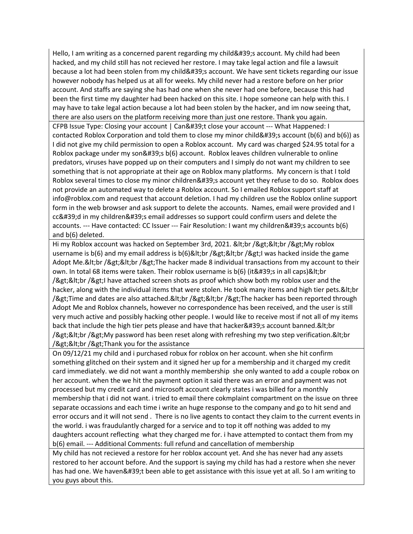Hello, I am writing as a concerned parent regarding my child  $\&\#39$ ; account. My child had been hacked, and my child still has not recieved her restore. I may take legal action and file a lawsuit because a lot had been stolen from my child's account. We have sent tickets regarding our issue however nobody has helped us at all for weeks. My child never had a restore before on her prior account. And staffs are saying she has had one when she never had one before, because this had been the first time my daughter had been hacked on this site. I hope someone can help with this. I may have to take legal action because a lot had been stolen by the hacker, and im now seeing that, there are also users on the platform receiving more than just one restore. Thank you again.

CFPB Issue Type: Closing your account | Can't close your account --- What Happened: I contacted Roblox Corporation and told them to close my minor child' account ( $b(6)$ ) and  $b(6)$ ) as I did not give my child permission to open a Roblox account. My card was charged \$24.95 total for a Roblox package under my son 's b(6) account. Roblox leaves children vulnerable to online predators, viruses have popped up on their computers and I simply do not want my children to see something that is not appropriate at their age on Roblox many platforms. My concern is that I told Roblox several times to close my minor children's account yet they refuse to do so. Roblox does not provide an automated way to delete a Roblox account. So I emailed Roblox support staff at info@roblox.com and request that account deletion. I had my children use the Roblox online support form in the web browser and ask support to delete the accounts. Names, email were provided and I cc'd in my children's email addresses so support could confirm users and delete the accounts. --- Have contacted: CC Issuer --- Fair Resolution: I want my children's accounts b(6) and b(6) deleted.

Hi my Roblox account was hacked on September 3rd, 2021. <br /&gt;&lt;br /&gt;My roblox username is  $b(6)$  and my email address is  $b(6)$ <br /&gt;&lt;br /&gt;l was hacked inside the game Adopt Me.<br /&gt;&lt;br /&gt;The hacker made 8 individual transactions from my account to their own. In total 68 items were taken. Their roblox username is  $b(6)$  (it 's in all caps) & It; br  $/$ ><br  $/$ >I have attached screen shots as proof which show both my roblox user and the hacker, along with the individual items that were stolen. He took many items and high tier pets. & It; br /> Time and dates are also attached.< br /&gt; &lt; br /&gt; The hacker has been reported through Adopt Me and Roblox channels, however no correspondence has been received, and the user is still very much active and possibly hacking other people. I would like to receive most if not all of my items back that include the high tier pets please and have that hacker's account banned.&It;br /><br /&gt;My password has been reset along with refreshing my two step verification.&lt;br /><br /&gt;Thank you for the assistance

On 09/12/21 my child and i purchased robux for roblox on her account. when she hit confirm something glitched on their system and it signed her up for a membership and it charged my credit card immediately. we did not want a monthly membership she only wanted to add a couple robox on her account. when the we hit the payment option it said there was an error and payment was not processed but my credit card and microsoft account clearly states i was billed for a monthly membership that i did not want. i tried to email there cokmplaint compartment on the issue on three separate occassions and each time i write an huge response to the company and go to hit send and error occurs and it will not send . There is no live agents to contact they claim to the current events in the world. i was fraudulantly charged for a service and to top it off nothing was added to my daughters account reflecting what they charged me for. i have attempted to contact them from my b(6) email. --- Additional Comments: full refund and cancellation of membership

My child has not recieved a restore for her roblox account yet. And she has never had any assets restored to her account before. And the support is saying my child has had a restore when she never has had one. We haven't been able to get assistance with this issue yet at all. So I am writing to you guys about this.